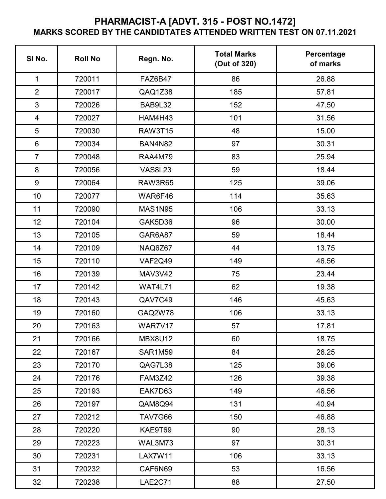## **PHARMACIST-A [ADVT. 315 - POST NO.1472] MARKS SCORED BY THE CANDIDTATES ATTENDED WRITTEN TEST ON 07.11.2021**

| SI No.         | <b>Roll No</b> | Regn. No.      | <b>Total Marks</b><br>(Out of 320) | Percentage<br>of marks |
|----------------|----------------|----------------|------------------------------------|------------------------|
| $\mathbf 1$    | 720011         | FAZ6B47        | 86                                 | 26.88                  |
| $\overline{2}$ | 720017         | QAQ1Z38        | 185                                | 57.81                  |
| 3              | 720026         | BAB9L32        | 152                                | 47.50                  |
| $\overline{4}$ | 720027         | HAM4H43        | 101                                | 31.56                  |
| 5              | 720030         | <b>RAW3T15</b> | 48                                 | 15.00                  |
| $6\phantom{1}$ | 720034         | <b>BAN4N82</b> | 97                                 | 30.31                  |
| $\overline{7}$ | 720048         | <b>RAA4M79</b> | 83                                 | 25.94                  |
| 8              | 720056         | <b>VAS8L23</b> | 59                                 | 18.44                  |
| $9\,$          | 720064         | <b>RAW3R65</b> | 125                                | 39.06                  |
| 10             | 720077         | WAR6F46        | 114                                | 35.63                  |
| 11             | 720090         | <b>MAS1N95</b> | 106                                | 33.13                  |
| 12             | 720104         | GAK5D36        | 96                                 | 30.00                  |
| 13             | 720105         | GAR6A87        | 59                                 | 18.44                  |
| 14             | 720109         | NAQ6Z67        | 44                                 | 13.75                  |
| 15             | 720110         | <b>VAF2Q49</b> | 149                                | 46.56                  |
| 16             | 720139         | <b>MAV3V42</b> | 75                                 | 23.44                  |
| 17             | 720142         | <b>WAT4L71</b> | 62                                 | 19.38                  |
| 18             | 720143         | QAV7C49        | 146                                | 45.63                  |
| 19             | 720160         | GAQ2W78        | 106                                | 33.13                  |
| 20             | 720163         | WAR7V17        | 57                                 | 17.81                  |
| 21             | 720166         | <b>MBX8U12</b> | 60                                 | 18.75                  |
| 22             | 720167         | SAR1M59        | 84                                 | 26.25                  |
| 23             | 720170         | QAG7L38        | 125                                | 39.06                  |
| 24             | 720176         | <b>FAM3Z42</b> | 126                                | 39.38                  |
| 25             | 720193         | EAK7D63        | 149                                | 46.56                  |
| 26             | 720197         | QAM8Q94        | 131                                | 40.94                  |
| 27             | 720212         | TAV7G66        | 150                                | 46.88                  |
| 28             | 720220         | KAE9T69        | 90                                 | 28.13                  |
| 29             | 720223         | WAL3M73        | 97                                 | 30.31                  |
| 30             | 720231         | <b>LAX7W11</b> | 106                                | 33.13                  |
| 31             | 720232         | CAF6N69        | 53                                 | 16.56                  |
| 32             | 720238         | <b>LAE2C71</b> | 88                                 | 27.50                  |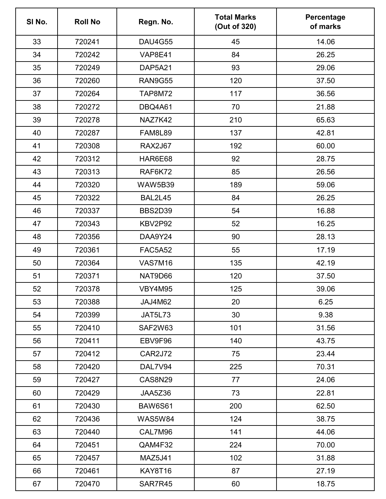| SI No. | <b>Roll No</b> | Regn. No.      | <b>Total Marks</b><br>(Out of 320) | Percentage<br>of marks |
|--------|----------------|----------------|------------------------------------|------------------------|
| 33     | 720241         | <b>DAU4G55</b> | 45                                 | 14.06                  |
| 34     | 720242         | <b>VAP8E41</b> | 84                                 | 26.25                  |
| 35     | 720249         | DAP5A21        | 93                                 | 29.06                  |
| 36     | 720260         | <b>RAN9G55</b> | 120                                | 37.50                  |
| 37     | 720264         | <b>TAP8M72</b> | 117                                | 36.56                  |
| 38     | 720272         | DBQ4A61        | 70                                 | 21.88                  |
| 39     | 720278         | NAZ7K42        | 210                                | 65.63                  |
| 40     | 720287         | <b>FAM8L89</b> | 137                                | 42.81                  |
| 41     | 720308         | <b>RAX2J67</b> | 192                                | 60.00                  |
| 42     | 720312         | HAR6E68        | 92                                 | 28.75                  |
| 43     | 720313         | RAF6K72        | 85                                 | 26.56                  |
| 44     | 720320         | <b>WAW5B39</b> | 189                                | 59.06                  |
| 45     | 720322         | <b>BAL2L45</b> | 84                                 | 26.25                  |
| 46     | 720337         | <b>BBS2D39</b> | 54                                 | 16.88                  |
| 47     | 720343         | KBV2P92        | 52                                 | 16.25                  |
| 48     | 720356         | DAA9Y24        | 90                                 | 28.13                  |
| 49     | 720361         | <b>FAC5A52</b> | 55                                 | 17.19                  |
| 50     | 720364         | <b>VAS7M16</b> | 135                                | 42.19                  |
| 51     | 720371         | NAT9D66        | 120                                | 37.50                  |
| 52     | 720378         | VBY4M95        | 125                                | 39.06                  |
| 53     | 720388         | JAJ4M62        | 20                                 | 6.25                   |
| 54     | 720399         | JAT5L73        | 30                                 | 9.38                   |
| 55     | 720410         | SAF2W63        | 101                                | 31.56                  |
| 56     | 720411         | EBV9F96        | 140                                | 43.75                  |
| 57     | 720412         | CAR2J72        | 75                                 | 23.44                  |
| 58     | 720420         | DAL7V94        | 225                                | 70.31                  |
| 59     | 720427         | <b>CAS8N29</b> | 77                                 | 24.06                  |
| 60     | 720429         | JAA5Z36        | 73                                 | 22.81                  |
| 61     | 720430         | <b>BAW6S61</b> | 200                                | 62.50                  |
| 62     | 720436         | <b>WAS5W84</b> | 124                                | 38.75                  |
| 63     | 720440         | CAL7M96        | 141                                | 44.06                  |
| 64     | 720451         | QAM4F32        | 224                                | 70.00                  |
| 65     | 720457         | <b>MAZ5J41</b> | 102                                | 31.88                  |
| 66     | 720461         | KAY8T16        | 87                                 | 27.19                  |
| 67     | 720470         | SAR7R45        | 60                                 | 18.75                  |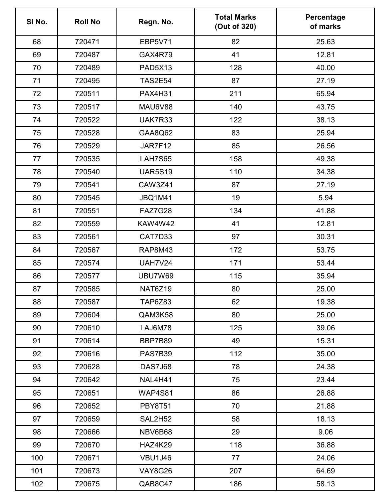| SI No. | <b>Roll No</b> | Regn. No.      | <b>Total Marks</b><br>(Out of 320) | Percentage<br>of marks |
|--------|----------------|----------------|------------------------------------|------------------------|
| 68     | 720471         | <b>EBP5V71</b> | 82                                 | 25.63                  |
| 69     | 720487         | GAX4R79        | 41                                 | 12.81                  |
| 70     | 720489         | <b>PAD5X13</b> | 128                                | 40.00                  |
| 71     | 720495         | <b>TAS2E54</b> | 87                                 | 27.19                  |
| 72     | 720511         | <b>PAX4H31</b> | 211                                | 65.94                  |
| 73     | 720517         | MAU6V88        | 140                                | 43.75                  |
| 74     | 720522         | UAK7R33        | 122                                | 38.13                  |
| 75     | 720528         | GAA8Q62        | 83                                 | 25.94                  |
| 76     | 720529         | JAR7F12        | 85                                 | 26.56                  |
| 77     | 720535         | <b>LAH7S65</b> | 158                                | 49.38                  |
| 78     | 720540         | <b>UAR5S19</b> | 110                                | 34.38                  |
| 79     | 720541         | <b>CAW3Z41</b> | 87                                 | 27.19                  |
| 80     | 720545         | <b>JBQ1M41</b> | 19                                 | 5.94                   |
| 81     | 720551         | <b>FAZ7G28</b> | 134                                | 41.88                  |
| 82     | 720559         | KAW4W42        | 41                                 | 12.81                  |
| 83     | 720561         | CAT7D33        | 97                                 | 30.31                  |
| 84     | 720567         | <b>RAP8M43</b> | 172                                | 53.75                  |
| 85     | 720574         | <b>UAH7V24</b> | 171                                | 53.44                  |
| 86     | 720577         | <b>UBU7W69</b> | 115                                | 35.94                  |
| 87     | 720585         | NAT6Z19        | 80                                 | 25.00                  |
| 88     | 720587         | <b>TAP6Z83</b> | 62                                 | 19.38                  |
| 89     | 720604         | QAM3K58        | 80                                 | 25.00                  |
| 90     | 720610         | LAJ6M78        | 125                                | 39.06                  |
| 91     | 720614         | BBP7B89        | 49                                 | 15.31                  |
| 92     | 720616         | PAS7B39        | 112                                | 35.00                  |
| 93     | 720628         | DAS7J68        | 78                                 | 24.38                  |
| 94     | 720642         | NAL4H41        | 75                                 | 23.44                  |
| 95     | 720651         | <b>WAP4S81</b> | 86                                 | 26.88                  |
| 96     | 720652         | <b>PBY8T51</b> | 70                                 | 21.88                  |
| 97     | 720659         | SAL2H52        | 58                                 | 18.13                  |
| 98     | 720666         | NBV6B68        | 29                                 | 9.06                   |
| 99     | 720670         | <b>HAZ4K29</b> | 118                                | 36.88                  |
| 100    | 720671         | <b>VBU1J46</b> | 77                                 | 24.06                  |
| 101    | 720673         | <b>VAY8G26</b> | 207                                | 64.69                  |
| 102    | 720675         | QAB8C47        | 186                                | 58.13                  |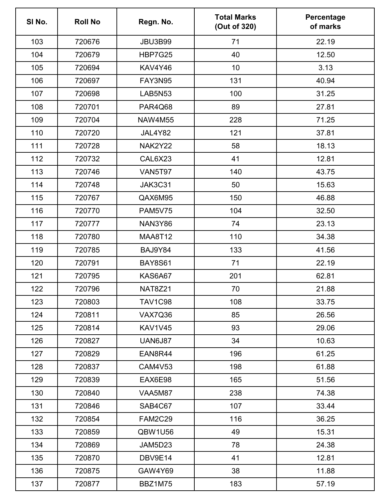| SI No. | <b>Roll No</b> | Regn. No.      | <b>Total Marks</b><br>(Out of 320) | Percentage<br>of marks |
|--------|----------------|----------------|------------------------------------|------------------------|
| 103    | 720676         | <b>JBU3B99</b> | 71                                 | 22.19                  |
| 104    | 720679         | <b>HBP7G25</b> | 40                                 | 12.50                  |
| 105    | 720694         | KAV4Y46        | 10                                 | 3.13                   |
| 106    | 720697         | <b>FAY3N95</b> | 131                                | 40.94                  |
| 107    | 720698         | <b>LAB5N53</b> | 100                                | 31.25                  |
| 108    | 720701         | PAR4Q68        | 89                                 | 27.81                  |
| 109    | 720704         | <b>NAW4M55</b> | 228                                | 71.25                  |
| 110    | 720720         | JAL4Y82        | 121                                | 37.81                  |
| 111    | 720728         | NAK2Y22        | 58                                 | 18.13                  |
| 112    | 720732         | CAL6X23        | 41                                 | 12.81                  |
| 113    | 720746         | <b>VAN5T97</b> | 140                                | 43.75                  |
| 114    | 720748         | <b>JAK3C31</b> | 50                                 | 15.63                  |
| 115    | 720767         | QAX6M95        | 150                                | 46.88                  |
| 116    | 720770         | <b>PAM5V75</b> | 104                                | 32.50                  |
| 117    | 720777         | <b>NAN3Y86</b> | 74                                 | 23.13                  |
| 118    | 720780         | <b>MAA8T12</b> | 110                                | 34.38                  |
| 119    | 720785         | BAJ9Y84        | 133                                | 41.56                  |
| 120    | 720791         | <b>BAY8S61</b> | 71                                 | 22.19                  |
| 121    | 720795         | KAS6A67        | 201                                | 62.81                  |
| 122    | 720796         | <b>NAT8Z21</b> | 70                                 | 21.88                  |
| 123    | 720803         | <b>TAV1C98</b> | 108                                | 33.75                  |
| 124    | 720811         | <b>VAX7Q36</b> | 85                                 | 26.56                  |
| 125    | 720814         | <b>KAV1V45</b> | 93                                 | 29.06                  |
| 126    | 720827         | <b>UAN6J87</b> | 34                                 | 10.63                  |
| 127    | 720829         | EAN8R44        | 196                                | 61.25                  |
| 128    | 720837         | <b>CAM4V53</b> | 198                                | 61.88                  |
| 129    | 720839         | EAX6E98        | 165                                | 51.56                  |
| 130    | 720840         | <b>VAA5M87</b> | 238                                | 74.38                  |
| 131    | 720846         | SAB4C67        | 107                                | 33.44                  |
| 132    | 720854         | <b>FAM2C29</b> | 116                                | 36.25                  |
| 133    | 720859         | QBW1U56        | 49                                 | 15.31                  |
| 134    | 720869         | JAM5D23        | 78                                 | 24.38                  |
| 135    | 720870         | DBV9E14        | 41                                 | 12.81                  |
| 136    | 720875         | GAW4Y69        | 38                                 | 11.88                  |
| 137    | 720877         | BBZ1M75        | 183                                | 57.19                  |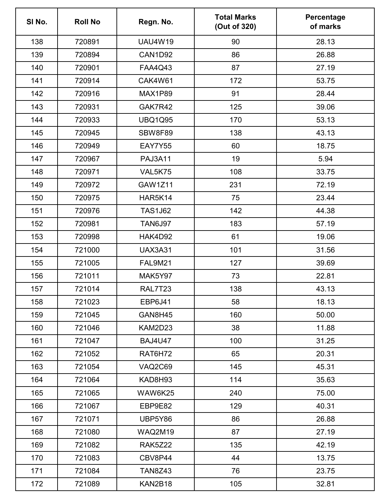| SI No. | <b>Roll No</b> | Regn. No.      | <b>Total Marks</b><br>(Out of 320) | Percentage<br>of marks |
|--------|----------------|----------------|------------------------------------|------------------------|
| 138    | 720891         | <b>UAU4W19</b> | 90                                 | 28.13                  |
| 139    | 720894         | CAN1D92        | 86                                 | 26.88                  |
| 140    | 720901         | <b>FAA4Q43</b> | 87                                 | 27.19                  |
| 141    | 720914         | CAK4W61        | 172                                | 53.75                  |
| 142    | 720916         | MAX1P89        | 91                                 | 28.44                  |
| 143    | 720931         | GAK7R42        | 125                                | 39.06                  |
| 144    | 720933         | <b>UBQ1Q95</b> | 170                                | 53.13                  |
| 145    | 720945         | <b>SBW8F89</b> | 138                                | 43.13                  |
| 146    | 720949         | EAY7Y55        | 60                                 | 18.75                  |
| 147    | 720967         | <b>PAJ3A11</b> | 19                                 | 5.94                   |
| 148    | 720971         | VAL5K75        | 108                                | 33.75                  |
| 149    | 720972         | GAW1Z11        | 231                                | 72.19                  |
| 150    | 720975         | HAR5K14        | 75                                 | 23.44                  |
| 151    | 720976         | <b>TAS1J62</b> | 142                                | 44.38                  |
| 152    | 720981         | <b>TAN6J97</b> | 183                                | 57.19                  |
| 153    | 720998         | HAK4D92        | 61                                 | 19.06                  |
| 154    | 721000         | <b>UAX3A31</b> | 101                                | 31.56                  |
| 155    | 721005         | <b>FAL9M21</b> | 127                                | 39.69                  |
| 156    | 721011         | MAK5Y97        | 73                                 | 22.81                  |
| 157    | 721014         | RAL7T23        | 138                                | 43.13                  |
| 158    | 721023         | <b>EBP6J41</b> | 58                                 | 18.13                  |
| 159    | 721045         | GAN8H45        | 160                                | 50.00                  |
| 160    | 721046         | KAM2D23        | 38                                 | 11.88                  |
| 161    | 721047         | <b>BAJ4U47</b> | 100                                | 31.25                  |
| 162    | 721052         | RAT6H72        | 65                                 | 20.31                  |
| 163    | 721054         | VAQ2C69        | 145                                | 45.31                  |
| 164    | 721064         | KAD8H93        | 114                                | 35.63                  |
| 165    | 721065         | WAW6K25        | 240                                | 75.00                  |
| 166    | 721067         | EBP9E82        | 129                                | 40.31                  |
| 167    | 721071         | UBP5Y86        | 86                                 | 26.88                  |
| 168    | 721080         | WAQ2M19        | 87                                 | 27.19                  |
| 169    | 721082         | <b>RAK5Z22</b> | 135                                | 42.19                  |
| 170    | 721083         | CBV8P44        | 44                                 | 13.75                  |
| 171    | 721084         | <b>TAN8Z43</b> | 76                                 | 23.75                  |
| 172    | 721089         | KAN2B18        | 105                                | 32.81                  |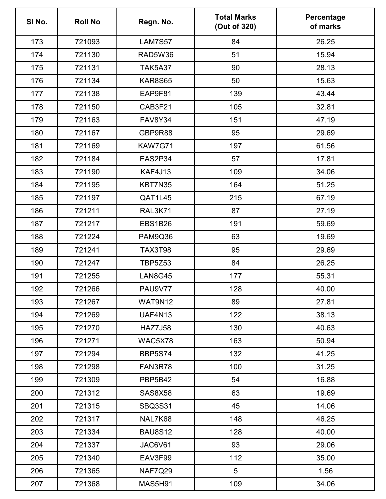| SI No. | <b>Roll No</b> | Regn. No.      | <b>Total Marks</b><br>(Out of 320) | Percentage<br>of marks |
|--------|----------------|----------------|------------------------------------|------------------------|
| 173    | 721093         | <b>LAM7S57</b> | 84                                 | 26.25                  |
| 174    | 721130         | RAD5W36        | 51                                 | 15.94                  |
| 175    | 721131         | <b>TAK5A37</b> | 90                                 | 28.13                  |
| 176    | 721134         | <b>KAR8S65</b> | 50                                 | 15.63                  |
| 177    | 721138         | EAP9F81        | 139                                | 43.44                  |
| 178    | 721150         | CAB3F21        | 105                                | 32.81                  |
| 179    | 721163         | <b>FAV8Y34</b> | 151                                | 47.19                  |
| 180    | 721167         | GBP9R88        | 95                                 | 29.69                  |
| 181    | 721169         | KAW7G71        | 197                                | 61.56                  |
| 182    | 721184         | EAS2P34        | 57                                 | 17.81                  |
| 183    | 721190         | KAF4J13        | 109                                | 34.06                  |
| 184    | 721195         | KBT7N35        | 164                                | 51.25                  |
| 185    | 721197         | QAT1L45        | 215                                | 67.19                  |
| 186    | 721211         | <b>RAL3K71</b> | 87                                 | 27.19                  |
| 187    | 721217         | <b>EBS1B26</b> | 191                                | 59.69                  |
| 188    | 721224         | PAM9Q36        | 63                                 | 19.69                  |
| 189    | 721241         | <b>TAX3T98</b> | 95                                 | 29.69                  |
| 190    | 721247         | <b>TBP5Z53</b> | 84                                 | 26.25                  |
| 191    | 721255         | <b>LAN8G45</b> | 177                                | 55.31                  |
| 192    | 721266         | <b>PAU9V77</b> | 128                                | 40.00                  |
| 193    | 721267         | WAT9N12        | 89                                 | 27.81                  |
| 194    | 721269         | <b>UAF4N13</b> | 122                                | 38.13                  |
| 195    | 721270         | <b>HAZ7J58</b> | 130                                | 40.63                  |
| 196    | 721271         | WAC5X78        | 163                                | 50.94                  |
| 197    | 721294         | <b>BBP5S74</b> | 132                                | 41.25                  |
| 198    | 721298         | FAN3R78        | 100                                | 31.25                  |
| 199    | 721309         | <b>PBP5B42</b> | 54                                 | 16.88                  |
| 200    | 721312         | <b>SAS8X58</b> | 63                                 | 19.69                  |
| 201    | 721315         | <b>SBQ3S31</b> | 45                                 | 14.06                  |
| 202    | 721317         | NAL7K68        | 148                                | 46.25                  |
| 203    | 721334         | <b>BAU8S12</b> | 128                                | 40.00                  |
| 204    | 721337         | JAC6V61        | 93                                 | 29.06                  |
| 205    | 721340         | EAV3F99        | 112                                | 35.00                  |
| 206    | 721365         | <b>NAF7Q29</b> | 5                                  | 1.56                   |
| 207    | 721368         | <b>MAS5H91</b> | 109                                | 34.06                  |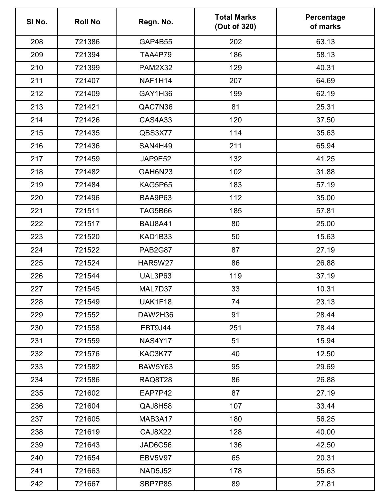| SI No. | <b>Roll No</b> | Regn. No.      | <b>Total Marks</b><br>(Out of 320) | Percentage<br>of marks |
|--------|----------------|----------------|------------------------------------|------------------------|
| 208    | 721386         | GAP4B55        | 202                                | 63.13                  |
| 209    | 721394         | <b>TAA4P79</b> | 186                                | 58.13                  |
| 210    | 721399         | <b>PAM2X32</b> | 129                                | 40.31                  |
| 211    | 721407         | NAF1H14        | 207                                | 64.69                  |
| 212    | 721409         | GAY1H36        | 199                                | 62.19                  |
| 213    | 721421         | QAC7N36        | 81                                 | 25.31                  |
| 214    | 721426         | <b>CAS4A33</b> | 120                                | 37.50                  |
| 215    | 721435         | QBS3X77        | 114                                | 35.63                  |
| 216    | 721436         | SAN4H49        | 211                                | 65.94                  |
| 217    | 721459         | JAP9E52        | 132                                | 41.25                  |
| 218    | 721482         | GAH6N23        | 102                                | 31.88                  |
| 219    | 721484         | KAG5P65        | 183                                | 57.19                  |
| 220    | 721496         | BAA9P63        | 112                                | 35.00                  |
| 221    | 721511         | <b>TAG5B66</b> | 185                                | 57.81                  |
| 222    | 721517         | <b>BAU8A41</b> | 80                                 | 25.00                  |
| 223    | 721520         | KAD1B33        | 50                                 | 15.63                  |
| 224    | 721522         | <b>PAB2G87</b> | 87                                 | 27.19                  |
| 225    | 721524         | <b>HAR5W27</b> | 86                                 | 26.88                  |
| 226    | 721544         | UAL3P63        | 119                                | 37.19                  |
| 227    | 721545         | MAL7D37        | 33                                 | 10.31                  |
| 228    | 721549         | UAK1F18        | 74                                 | 23.13                  |
| 229    | 721552         | DAW2H36        | 91                                 | 28.44                  |
| 230    | 721558         | EBT9J44        | 251                                | 78.44                  |
| 231    | 721559         | <b>NAS4Y17</b> | 51                                 | 15.94                  |
| 232    | 721576         | KAC3K77        | 40                                 | 12.50                  |
| 233    | 721582         | <b>BAW5Y63</b> | 95                                 | 29.69                  |
| 234    | 721586         | <b>RAQ8T28</b> | 86                                 | 26.88                  |
| 235    | 721602         | EAP7P42        | 87                                 | 27.19                  |
| 236    | 721604         | QAJ8H58        | 107                                | 33.44                  |
| 237    | 721605         | MAB3A17        | 180                                | 56.25                  |
| 238    | 721619         | CAJ8X22        | 128                                | 40.00                  |
| 239    | 721643         | JAD6C56        | 136                                | 42.50                  |
| 240    | 721654         | <b>EBV5V97</b> | 65                                 | 20.31                  |
| 241    | 721663         | <b>NAD5J52</b> | 178                                | 55.63                  |
| 242    | 721667         | SBP7P85        | 89                                 | 27.81                  |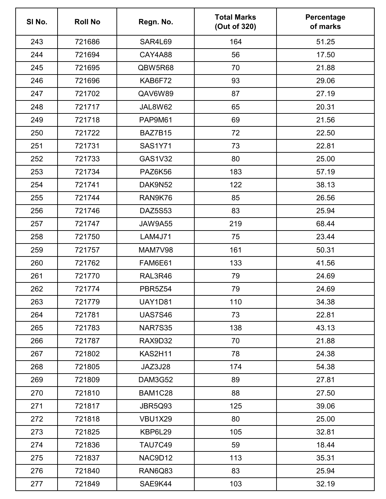| SI No. | <b>Roll No</b> | Regn. No.      | <b>Total Marks</b><br>(Out of 320) | Percentage<br>of marks |
|--------|----------------|----------------|------------------------------------|------------------------|
| 243    | 721686         | SAR4L69        | 164                                | 51.25                  |
| 244    | 721694         | CAY4A88        | 56                                 | 17.50                  |
| 245    | 721695         | QBW5R68        | 70                                 | 21.88                  |
| 246    | 721696         | KAB6F72        | 93                                 | 29.06                  |
| 247    | 721702         | QAV6W89        | 87                                 | 27.19                  |
| 248    | 721717         | JAL8W62        | 65                                 | 20.31                  |
| 249    | 721718         | PAP9M61        | 69                                 | 21.56                  |
| 250    | 721722         | BAZ7B15        | 72                                 | 22.50                  |
| 251    | 721731         | <b>SAS1Y71</b> | 73                                 | 22.81                  |
| 252    | 721733         | <b>GAS1V32</b> | 80                                 | 25.00                  |
| 253    | 721734         | <b>PAZ6K56</b> | 183                                | 57.19                  |
| 254    | 721741         | DAK9N52        | 122                                | 38.13                  |
| 255    | 721744         | RAN9K76        | 85                                 | 26.56                  |
| 256    | 721746         | <b>DAZ5S53</b> | 83                                 | 25.94                  |
| 257    | 721747         | <b>JAW9A55</b> | 219                                | 68.44                  |
| 258    | 721750         | <b>LAM4J71</b> | 75                                 | 23.44                  |
| 259    | 721757         | <b>MAM7V98</b> | 161                                | 50.31                  |
| 260    | 721762         | FAM6E61        | 133                                | 41.56                  |
| 261    | 721770         | RAL3R46        | 79                                 | 24.69                  |
| 262    | 721774         | PBR5Z54        | 79                                 | 24.69                  |
| 263    | 721779         | <b>UAY1D81</b> | 110                                | 34.38                  |
| 264    | 721781         | <b>UAS7S46</b> | 73                                 | 22.81                  |
| 265    | 721783         | <b>NAR7S35</b> | 138                                | 43.13                  |
| 266    | 721787         | RAX9D32        | 70                                 | 21.88                  |
| 267    | 721802         | KAS2H11        | 78                                 | 24.38                  |
| 268    | 721805         | JAZ3J28        | 174                                | 54.38                  |
| 269    | 721809         | DAM3G52        | 89                                 | 27.81                  |
| 270    | 721810         | BAM1C28        | 88                                 | 27.50                  |
| 271    | 721817         | JBR5Q93        | 125                                | 39.06                  |
| 272    | 721818         | <b>VBU1X29</b> | 80                                 | 25.00                  |
| 273    | 721825         | KBP6L29        | 105                                | 32.81                  |
| 274    | 721836         | <b>TAU7C49</b> | 59                                 | 18.44                  |
| 275    | 721837         | NAC9D12        | 113                                | 35.31                  |
| 276    | 721840         | RAN6Q83        | 83                                 | 25.94                  |
| 277    | 721849         | SAE9K44        | 103                                | 32.19                  |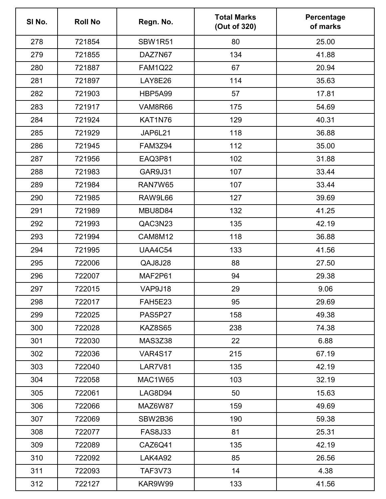| SI No. | <b>Roll No</b> | Regn. No.      | <b>Total Marks</b><br>(Out of 320) | Percentage<br>of marks |
|--------|----------------|----------------|------------------------------------|------------------------|
| 278    | 721854         | <b>SBW1R51</b> | 80                                 | 25.00                  |
| 279    | 721855         | DAZ7N67        | 134                                | 41.88                  |
| 280    | 721887         | <b>FAM1Q22</b> | 67                                 | 20.94                  |
| 281    | 721897         | <b>LAY8E26</b> | 114                                | 35.63                  |
| 282    | 721903         | <b>HBP5A99</b> | 57                                 | 17.81                  |
| 283    | 721917         | VAM8R66        | 175                                | 54.69                  |
| 284    | 721924         | KAT1N76        | 129                                | 40.31                  |
| 285    | 721929         | JAP6L21        | 118                                | 36.88                  |
| 286    | 721945         | <b>FAM3Z94</b> | 112                                | 35.00                  |
| 287    | 721956         | EAQ3P81        | 102                                | 31.88                  |
| 288    | 721983         | <b>GAR9J31</b> | 107                                | 33.44                  |
| 289    | 721984         | RAN7W65        | 107                                | 33.44                  |
| 290    | 721985         | RAW9L66        | 127                                | 39.69                  |
| 291    | 721989         | MBU8D84        | 132                                | 41.25                  |
| 292    | 721993         | QAC3N23        | 135                                | 42.19                  |
| 293    | 721994         | <b>CAM8M12</b> | 118                                | 36.88                  |
| 294    | 721995         | <b>UAA4C54</b> | 133                                | 41.56                  |
| 295    | 722006         | QAJ8J28        | 88                                 | 27.50                  |
| 296    | 722007         | MAF2P61        | 94                                 | 29.38                  |
| 297    | 722015         | VAP9J18        | 29                                 | 9.06                   |
| 298    | 722017         | <b>FAH5E23</b> | 95                                 | 29.69                  |
| 299    | 722025         | PAS5P27        | 158                                | 49.38                  |
| 300    | 722028         | <b>KAZ8S65</b> | 238                                | 74.38                  |
| 301    | 722030         | <b>MAS3Z38</b> | 22                                 | 6.88                   |
| 302    | 722036         | <b>VAR4S17</b> | 215                                | 67.19                  |
| 303    | 722040         | LAR7V81        | 135                                | 42.19                  |
| 304    | 722058         | <b>MAC1W65</b> | 103                                | 32.19                  |
| 305    | 722061         | LAG8D94        | 50                                 | 15.63                  |
| 306    | 722066         | MAZ6W87        | 159                                | 49.69                  |
| 307    | 722069         | SBW2B36        | 190                                | 59.38                  |
| 308    | 722077         | <b>FAS8J33</b> | 81                                 | 25.31                  |
| 309    | 722089         | CAZ6Q41        | 135                                | 42.19                  |
| 310    | 722092         | LAK4A92        | 85                                 | 26.56                  |
| 311    | 722093         | <b>TAF3V73</b> | 14                                 | 4.38                   |
| 312    | 722127         | KAR9W99        | 133                                | 41.56                  |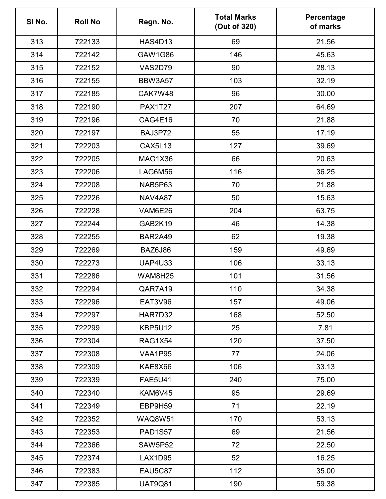| SI No. | <b>Roll No</b> | Regn. No.      | <b>Total Marks</b><br>(Out of 320) | Percentage<br>of marks |
|--------|----------------|----------------|------------------------------------|------------------------|
| 313    | 722133         | <b>HAS4D13</b> | 69                                 | 21.56                  |
| 314    | 722142         | <b>GAW1G86</b> | 146                                | 45.63                  |
| 315    | 722152         | <b>VAS2D79</b> | 90                                 | 28.13                  |
| 316    | 722155         | BBW3A57        | 103                                | 32.19                  |
| 317    | 722185         | CAK7W48        | 96                                 | 30.00                  |
| 318    | 722190         | <b>PAX1T27</b> | 207                                | 64.69                  |
| 319    | 722196         | CAG4E16        | 70                                 | 21.88                  |
| 320    | 722197         | BAJ3P72        | 55                                 | 17.19                  |
| 321    | 722203         | <b>CAX5L13</b> | 127                                | 39.69                  |
| 322    | 722205         | MAG1X36        | 66                                 | 20.63                  |
| 323    | 722206         | LAG6M56        | 116                                | 36.25                  |
| 324    | 722208         | NAB5P63        | 70                                 | 21.88                  |
| 325    | 722226         | <b>NAV4A87</b> | 50                                 | 15.63                  |
| 326    | 722228         | VAM6E26        | 204                                | 63.75                  |
| 327    | 722244         | GAB2K19        | 46                                 | 14.38                  |
| 328    | 722255         | <b>BAR2A49</b> | 62                                 | 19.38                  |
| 329    | 722269         | BAZ6J86        | 159                                | 49.69                  |
| 330    | 722273         | <b>UAP4U33</b> | 106                                | 33.13                  |
| 331    | 722286         | WAM8H25        | 101                                | 31.56                  |
| 332    | 722294         | QAR7A19        | 110                                | 34.38                  |
| 333    | 722296         | <b>EAT3V96</b> | 157                                | 49.06                  |
| 334    | 722297         | HAR7D32        | 168                                | 52.50                  |
| 335    | 722299         | <b>KBP5U12</b> | 25                                 | 7.81                   |
| 336    | 722304         | <b>RAG1X54</b> | 120                                | 37.50                  |
| 337    | 722308         | VAA1P95        | 77                                 | 24.06                  |
| 338    | 722309         | KAE8X66        | 106                                | 33.13                  |
| 339    | 722339         | <b>FAE5U41</b> | 240                                | 75.00                  |
| 340    | 722340         | KAM6V45        | 95                                 | 29.69                  |
| 341    | 722349         | EBP9H59        | 71                                 | 22.19                  |
| 342    | 722352         | <b>WAQ8W51</b> | 170                                | 53.13                  |
| 343    | 722353         | <b>PAD1S57</b> | 69                                 | 21.56                  |
| 344    | 722366         | <b>SAW5P52</b> | 72                                 | 22.50                  |
| 345    | 722374         | LAX1D95        | 52                                 | 16.25                  |
| 346    | 722383         | EAU5C87        | 112                                | 35.00                  |
| 347    | 722385         | <b>UAT9Q81</b> | 190                                | 59.38                  |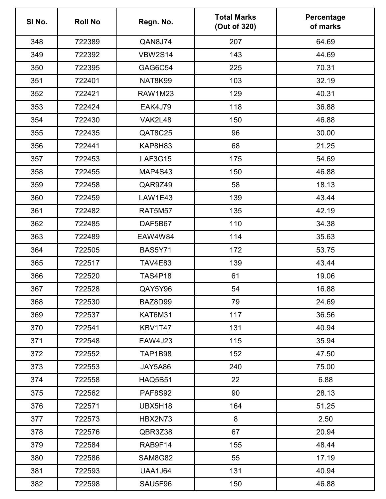| SI No. | <b>Roll No</b> | Regn. No.      | <b>Total Marks</b><br>(Out of 320) | Percentage<br>of marks |
|--------|----------------|----------------|------------------------------------|------------------------|
| 348    | 722389         | QAN8J74        | 207                                | 64.69                  |
| 349    | 722392         | <b>VBW2S14</b> | 143                                | 44.69                  |
| 350    | 722395         | GAG6C54        | 225                                | 70.31                  |
| 351    | 722401         | NAT8K99        | 103                                | 32.19                  |
| 352    | 722421         | <b>RAW1M23</b> | 129                                | 40.31                  |
| 353    | 722424         | <b>EAK4J79</b> | 118                                | 36.88                  |
| 354    | 722430         | VAK2L48        | 150                                | 46.88                  |
| 355    | 722435         | QAT8C25        | 96                                 | 30.00                  |
| 356    | 722441         | KAP8H83        | 68                                 | 21.25                  |
| 357    | 722453         | <b>LAF3G15</b> | 175                                | 54.69                  |
| 358    | 722455         | MAP4S43        | 150                                | 46.88                  |
| 359    | 722458         | QAR9Z49        | 58                                 | 18.13                  |
| 360    | 722459         | <b>LAW1E43</b> | 139                                | 43.44                  |
| 361    | 722482         | <b>RAT5M57</b> | 135                                | 42.19                  |
| 362    | 722485         | DAF5B67        | 110                                | 34.38                  |
| 363    | 722489         | <b>EAW4W84</b> | 114                                | 35.63                  |
| 364    | 722505         | <b>BAS5Y71</b> | 172                                | 53.75                  |
| 365    | 722517         | <b>TAV4E83</b> | 139                                | 43.44                  |
| 366    | 722520         | <b>TAS4P18</b> | 61                                 | 19.06                  |
| 367    | 722528         | QAY5Y96        | 54                                 | 16.88                  |
| 368    | 722530         | BAZ8D99        | 79                                 | 24.69                  |
| 369    | 722537         | KAT6M31        | 117                                | 36.56                  |
| 370    | 722541         | KBV1T47        | 131                                | 40.94                  |
| 371    | 722548         | <b>EAW4J23</b> | 115                                | 35.94                  |
| 372    | 722552         | <b>TAP1B98</b> | 152                                | 47.50                  |
| 373    | 722553         | JAY5A86        | 240                                | 75.00                  |
| 374    | 722558         | <b>HAQ5B51</b> | 22                                 | 6.88                   |
| 375    | 722562         | <b>PAF8S92</b> | 90                                 | 28.13                  |
| 376    | 722571         | UBX5H18        | 164                                | 51.25                  |
| 377    | 722573         | HBX2N73        | 8                                  | 2.50                   |
| 378    | 722576         | QBR3Z38        | 67                                 | 20.94                  |
| 379    | 722584         | RAB9F14        | 155                                | 48.44                  |
| 380    | 722586         | SAM8G82        | 55                                 | 17.19                  |
| 381    | 722593         | <b>UAA1J64</b> | 131                                | 40.94                  |
| 382    | 722598         | SAU5F96        | 150                                | 46.88                  |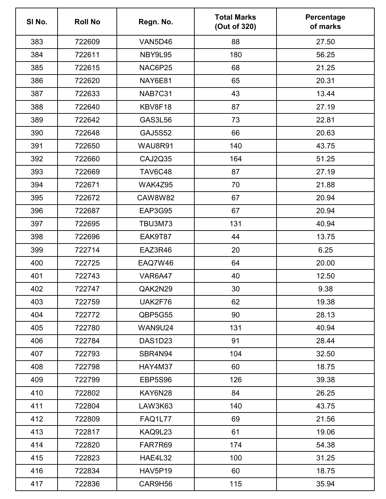| SI No. | <b>Roll No</b> | Regn. No.      | <b>Total Marks</b><br>(Out of 320) | Percentage<br>of marks |
|--------|----------------|----------------|------------------------------------|------------------------|
| 383    | 722609         | VAN5D46        | 88                                 | 27.50                  |
| 384    | 722611         | NBY9L95        | 180                                | 56.25                  |
| 385    | 722615         | NAC6P25        | 68                                 | 21.25                  |
| 386    | 722620         | NAY6E81        | 65                                 | 20.31                  |
| 387    | 722633         | NAB7C31        | 43                                 | 13.44                  |
| 388    | 722640         | KBV8F18        | 87                                 | 27.19                  |
| 389    | 722642         | <b>GAS3L56</b> | 73                                 | 22.81                  |
| 390    | 722648         | <b>GAJ5S52</b> | 66                                 | 20.63                  |
| 391    | 722650         | WAU8R91        | 140                                | 43.75                  |
| 392    | 722660         | <b>CAJ2Q35</b> | 164                                | 51.25                  |
| 393    | 722669         | <b>TAV6C48</b> | 87                                 | 27.19                  |
| 394    | 722671         | WAK4Z95        | 70                                 | 21.88                  |
| 395    | 722672         | <b>CAW8W82</b> | 67                                 | 20.94                  |
| 396    | 722687         | EAP3G95        | 67                                 | 20.94                  |
| 397    | 722695         | <b>TBU3M73</b> | 131                                | 40.94                  |
| 398    | 722696         | EAK9T87        | 44                                 | 13.75                  |
| 399    | 722714         | EAZ3R46        | 20                                 | 6.25                   |
| 400    | 722725         | EAQ7W46        | 64                                 | 20.00                  |
| 401    | 722743         | VAR6A47        | 40                                 | 12.50                  |
| 402    | 722747         | QAK2N29        | 30                                 | 9.38                   |
| 403    | 722759         | UAK2F76        | 62                                 | 19.38                  |
| 404    | 722772         | QBP5G55        | 90                                 | 28.13                  |
| 405    | 722780         | <b>WAN9U24</b> | 131                                | 40.94                  |
| 406    | 722784         | DAS1D23        | 91                                 | 28.44                  |
| 407    | 722793         | SBR4N94        | 104                                | 32.50                  |
| 408    | 722798         | HAY4M37        | 60                                 | 18.75                  |
| 409    | 722799         | <b>EBP5S96</b> | 126                                | 39.38                  |
| 410    | 722802         | KAY6N28        | 84                                 | 26.25                  |
| 411    | 722804         | LAW3K63        | 140                                | 43.75                  |
| 412    | 722809         | <b>FAQ1L77</b> | 69                                 | 21.56                  |
| 413    | 722817         | KAQ9L23        | 61                                 | 19.06                  |
| 414    | 722820         | FAR7R69        | 174                                | 54.38                  |
| 415    | 722823         | <b>HAE4L32</b> | 100                                | 31.25                  |
| 416    | 722834         | HAV5P19        | 60                                 | 18.75                  |
| 417    | 722836         | CAR9H56        | 115                                | 35.94                  |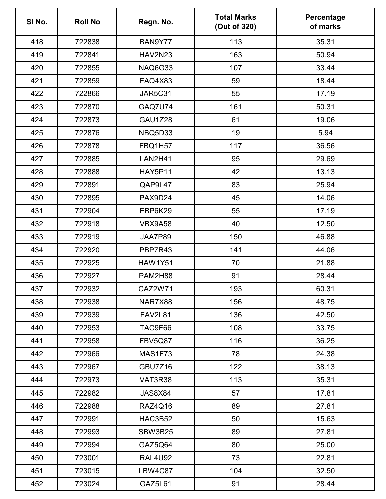| SI No. | <b>Roll No</b> | Regn. No.      | <b>Total Marks</b><br>(Out of 320) | Percentage<br>of marks |
|--------|----------------|----------------|------------------------------------|------------------------|
| 418    | 722838         | BAN9Y77        | 113                                | 35.31                  |
| 419    | 722841         | <b>HAV2N23</b> | 163                                | 50.94                  |
| 420    | 722855         | NAQ6G33        | 107                                | 33.44                  |
| 421    | 722859         | EAQ4X83        | 59                                 | 18.44                  |
| 422    | 722866         | <b>JAR5C31</b> | 55                                 | 17.19                  |
| 423    | 722870         | GAQ7U74        | 161                                | 50.31                  |
| 424    | 722873         | <b>GAU1Z28</b> | 61                                 | 19.06                  |
| 425    | 722876         | NBQ5D33        | 19                                 | 5.94                   |
| 426    | 722878         | <b>FBQ1H57</b> | 117                                | 36.56                  |
| 427    | 722885         | <b>LAN2H41</b> | 95                                 | 29.69                  |
| 428    | 722888         | <b>HAY5P11</b> | 42                                 | 13.13                  |
| 429    | 722891         | QAP9L47        | 83                                 | 25.94                  |
| 430    | 722895         | PAX9D24        | 45                                 | 14.06                  |
| 431    | 722904         | EBP6K29        | 55                                 | 17.19                  |
| 432    | 722918         | VBX9A58        | 40                                 | 12.50                  |
| 433    | 722919         | JAA7P89        | 150                                | 46.88                  |
| 434    | 722920         | PBP7R43        | 141                                | 44.06                  |
| 435    | 722925         | <b>HAW1Y51</b> | 70                                 | 21.88                  |
| 436    | 722927         | <b>PAM2H88</b> | 91                                 | 28.44                  |
| 437    | 722932         | CAZ2W71        | 193                                | 60.31                  |
| 438    | 722938         | NAR7X88        | 156                                | 48.75                  |
| 439    | 722939         | <b>FAV2L81</b> | 136                                | 42.50                  |
| 440    | 722953         | TAC9F66        | 108                                | 33.75                  |
| 441    | 722958         | <b>FBV5Q87</b> | 116                                | 36.25                  |
| 442    | 722966         | MAS1F73        | 78                                 | 24.38                  |
| 443    | 722967         | GBU7Z16        | 122                                | 38.13                  |
| 444    | 722973         | VAT3R38        | 113                                | 35.31                  |
| 445    | 722982         | JAS8X84        | 57                                 | 17.81                  |
| 446    | 722988         | RAZ4Q16        | 89                                 | 27.81                  |
| 447    | 722991         | HAC3B52        | 50                                 | 15.63                  |
| 448    | 722993         | SBW3B25        | 89                                 | 27.81                  |
| 449    | 722994         | GAZ5Q64        | 80                                 | 25.00                  |
| 450    | 723001         | <b>RAL4U92</b> | 73                                 | 22.81                  |
| 451    | 723015         | LBW4C87        | 104                                | 32.50                  |
| 452    | 723024         | GAZ5L61        | 91                                 | 28.44                  |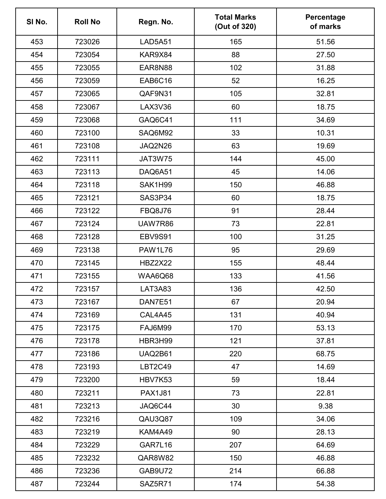| SI No. | <b>Roll No</b> | Regn. No.      | <b>Total Marks</b><br>(Out of 320) | Percentage<br>of marks |
|--------|----------------|----------------|------------------------------------|------------------------|
| 453    | 723026         | <b>LAD5A51</b> | 165                                | 51.56                  |
| 454    | 723054         | KAR9X84        | 88                                 | 27.50                  |
| 455    | 723055         | EAR8N88        | 102                                | 31.88                  |
| 456    | 723059         | EAB6C16        | 52                                 | 16.25                  |
| 457    | 723065         | QAF9N31        | 105                                | 32.81                  |
| 458    | 723067         | LAX3V36        | 60                                 | 18.75                  |
| 459    | 723068         | GAQ6C41        | 111                                | 34.69                  |
| 460    | 723100         | SAQ6M92        | 33                                 | 10.31                  |
| 461    | 723108         | JAQ2N26        | 63                                 | 19.69                  |
| 462    | 723111         | <b>JAT3W75</b> | 144                                | 45.00                  |
| 463    | 723113         | DAQ6A51        | 45                                 | 14.06                  |
| 464    | 723118         | SAK1H99        | 150                                | 46.88                  |
| 465    | 723121         | SAS3P34        | 60                                 | 18.75                  |
| 466    | 723122         | <b>FBQ8J76</b> | 91                                 | 28.44                  |
| 467    | 723124         | UAW7R86        | 73                                 | 22.81                  |
| 468    | 723128         | EBV9S91        | 100                                | 31.25                  |
| 469    | 723138         | <b>PAW1L76</b> | 95                                 | 29.69                  |
| 470    | 723145         | <b>HBZ2X22</b> | 155                                | 48.44                  |
| 471    | 723155         | WAA6Q68        | 133                                | 41.56                  |
| 472    | 723157         | LAT3A83        | 136                                | 42.50                  |
| 473    | 723167         | DAN7E51        | 67                                 | 20.94                  |
| 474    | 723169         | CAL4A45        | 131                                | 40.94                  |
| 475    | 723175         | FAJ6M99        | 170                                | 53.13                  |
| 476    | 723178         | HBR3H99        | 121                                | 37.81                  |
| 477    | 723186         | <b>UAQ2B61</b> | 220                                | 68.75                  |
| 478    | 723193         | <b>LBT2C49</b> | 47                                 | 14.69                  |
| 479    | 723200         | HBV7K53        | 59                                 | 18.44                  |
| 480    | 723211         | <b>PAX1J81</b> | 73                                 | 22.81                  |
| 481    | 723213         | JAQ6C44        | 30                                 | 9.38                   |
| 482    | 723216         | QAU3Q87        | 109                                | 34.06                  |
| 483    | 723219         | KAM4A49        | 90                                 | 28.13                  |
| 484    | 723229         | GAR7L16        | 207                                | 64.69                  |
| 485    | 723232         | QAR8W82        | 150                                | 46.88                  |
| 486    | 723236         | GAB9U72        | 214                                | 66.88                  |
| 487    | 723244         | SAZ5R71        | 174                                | 54.38                  |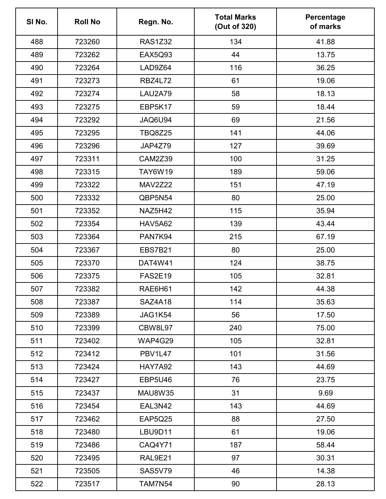| SI No. | <b>Roll No</b> | Regn. No.      | <b>Total Marks</b><br>(Out of 320) | Percentage<br>of marks |
|--------|----------------|----------------|------------------------------------|------------------------|
| 488    | 723260         | <b>RAS1Z32</b> | 134                                | 41.88                  |
| 489    | 723262         | <b>EAX5Q93</b> | 44                                 | 13.75                  |
| 490    | 723264         | LAD9Z64        | 116                                | 36.25                  |
| 491    | 723273         | <b>RBZ4L72</b> | 61                                 | 19.06                  |
| 492    | 723274         | LAU2A79        | 58                                 | 18.13                  |
| 493    | 723275         | EBP5K17        | 59                                 | 18.44                  |
| 494    | 723292         | JAQ6U94        | 69                                 | 21.56                  |
| 495    | 723295         | <b>TBQ8Z25</b> | 141                                | 44.06                  |
| 496    | 723296         | JAP4Z79        | 127                                | 39.69                  |
| 497    | 723311         | <b>CAM2Z39</b> | 100                                | 31.25                  |
| 498    | 723315         | <b>TAY6W19</b> | 189                                | 59.06                  |
| 499    | 723322         | <b>MAV2Z22</b> | 151                                | 47.19                  |
| 500    | 723332         | QBP5N54        | 80                                 | 25.00                  |
| 501    | 723352         | NAZ5H42        | 115                                | 35.94                  |
| 502    | 723354         | <b>HAV5A62</b> | 139                                | 43.44                  |
| 503    | 723364         | PAN7K94        | 215                                | 67.19                  |
| 504    | 723367         | <b>EBS7B21</b> | 80                                 | 25.00                  |
| 505    | 723370         | <b>DAT4W41</b> | 124                                | 38.75                  |
| 506    | 723375         | <b>FAS2E19</b> | 105                                | 32.81                  |
| 507    | 723382         | RAE6H61        | 142                                | 44.38                  |
| 508    | 723387         | SAZ4A18        | 114                                | 35.63                  |
| 509    | 723389         | JAG1K54        | 56                                 | 17.50                  |
| 510    | 723399         | CBW8L97        | 240                                | 75.00                  |
| 511    | 723402         | WAP4G29        | 105                                | 32.81                  |
| 512    | 723412         | PBV1L47        | 101                                | 31.56                  |
| 513    | 723424         | <b>HAY7A92</b> | 143                                | 44.69                  |
| 514    | 723427         | <b>EBP5U46</b> | 76                                 | 23.75                  |
| 515    | 723437         | <b>MAU8W35</b> | 31                                 | 9.69                   |
| 516    | 723454         | EAL3N42        | 143                                | 44.69                  |
| 517    | 723462         | EAP5Q25        | 88                                 | 27.50                  |
| 518    | 723480         | LBU9D11        | 61                                 | 19.06                  |
| 519    | 723486         | CAQ4Y71        | 187                                | 58.44                  |
| 520    | 723495         | <b>RAL9E21</b> | 97                                 | 30.31                  |
| 521    | 723505         | <b>SAS5V79</b> | 46                                 | 14.38                  |
| 522    | 723517         | <b>TAM7N54</b> | 90                                 | 28.13                  |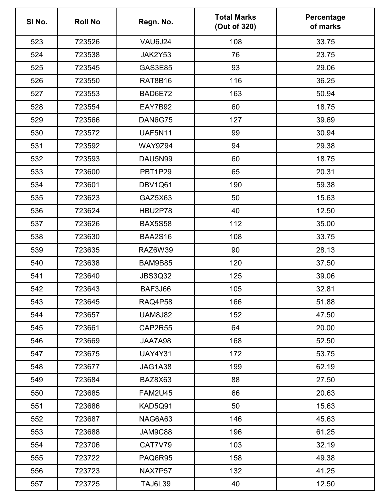| SI No. | <b>Roll No</b> | Regn. No.      | <b>Total Marks</b><br>(Out of 320) | Percentage<br>of marks |
|--------|----------------|----------------|------------------------------------|------------------------|
| 523    | 723526         | VAU6J24        | 108                                | 33.75                  |
| 524    | 723538         | JAK2Y53        | 76                                 | 23.75                  |
| 525    | 723545         | <b>GAS3E85</b> | 93                                 | 29.06                  |
| 526    | 723550         | RAT8B16        | 116                                | 36.25                  |
| 527    | 723553         | BAD6E72        | 163                                | 50.94                  |
| 528    | 723554         | EAY7B92        | 60                                 | 18.75                  |
| 529    | 723566         | DAN6G75        | 127                                | 39.69                  |
| 530    | 723572         | <b>UAF5N11</b> | 99                                 | 30.94                  |
| 531    | 723592         | <b>WAY9Z94</b> | 94                                 | 29.38                  |
| 532    | 723593         | DAU5N99        | 60                                 | 18.75                  |
| 533    | 723600         | PBT1P29        | 65                                 | 20.31                  |
| 534    | 723601         | DBV1Q61        | 190                                | 59.38                  |
| 535    | 723623         | GAZ5X63        | 50                                 | 15.63                  |
| 536    | 723624         | HBU2P78        | 40                                 | 12.50                  |
| 537    | 723626         | <b>BAX5S58</b> | 112                                | 35.00                  |
| 538    | 723630         | <b>BAA2S16</b> | 108                                | 33.75                  |
| 539    | 723635         | <b>RAZ6W39</b> | 90                                 | 28.13                  |
| 540    | 723638         | BAM9B85        | 120                                | 37.50                  |
| 541    | 723640         | <b>JBS3Q32</b> | 125                                | 39.06                  |
| 542    | 723643         | BAF3J66        | 105                                | 32.81                  |
| 543    | 723645         | RAQ4P58        | 166                                | 51.88                  |
| 544    | 723657         | <b>UAM8J82</b> | 152                                | 47.50                  |
| 545    | 723661         | CAP2R55        | 64                                 | 20.00                  |
| 546    | 723669         | JAA7A98        | 168                                | 52.50                  |
| 547    | 723675         | <b>UAY4Y31</b> | 172                                | 53.75                  |
| 548    | 723677         | JAG1A38        | 199                                | 62.19                  |
| 549    | 723684         | BAZ8X63        | 88                                 | 27.50                  |
| 550    | 723685         | <b>FAM2U45</b> | 66                                 | 20.63                  |
| 551    | 723686         | KAD5Q91        | 50                                 | 15.63                  |
| 552    | 723687         | NAG6A63        | 146                                | 45.63                  |
| 553    | 723688         | JAM9C88        | 196                                | 61.25                  |
| 554    | 723706         | CAT7V79        | 103                                | 32.19                  |
| 555    | 723722         | PAQ6R95        | 158                                | 49.38                  |
| 556    | 723723         | NAX7P57        | 132                                | 41.25                  |
| 557    | 723725         | <b>TAJ6L39</b> | 40                                 | 12.50                  |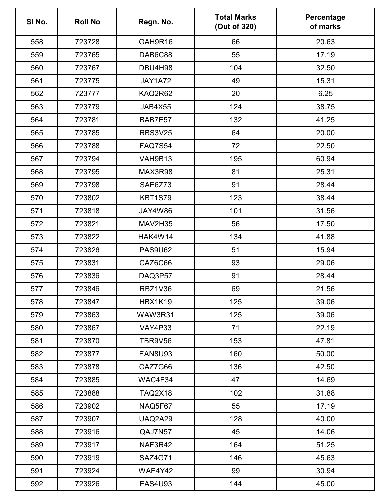| SI No. | <b>Roll No</b> | Regn. No.      | <b>Total Marks</b><br>(Out of 320) | Percentage<br>of marks |
|--------|----------------|----------------|------------------------------------|------------------------|
| 558    | 723728         | GAH9R16        | 66                                 | 20.63                  |
| 559    | 723765         | DAB6C88        | 55                                 | 17.19                  |
| 560    | 723767         | DBU4H98        | 104                                | 32.50                  |
| 561    | 723775         | JAY1A72        | 49                                 | 15.31                  |
| 562    | 723777         | KAQ2R62        | 20                                 | 6.25                   |
| 563    | 723779         | JAB4X55        | 124                                | 38.75                  |
| 564    | 723781         | BAB7E57        | 132                                | 41.25                  |
| 565    | 723785         | <b>RBS3V25</b> | 64                                 | 20.00                  |
| 566    | 723788         | <b>FAQ7S54</b> | 72                                 | 22.50                  |
| 567    | 723794         | VAH9B13        | 195                                | 60.94                  |
| 568    | 723795         | MAX3R98        | 81                                 | 25.31                  |
| 569    | 723798         | SAE6Z73        | 91                                 | 28.44                  |
| 570    | 723802         | <b>KBT1S79</b> | 123                                | 38.44                  |
| 571    | 723818         | <b>JAY4W86</b> | 101                                | 31.56                  |
| 572    | 723821         | MAV2H35        | 56                                 | 17.50                  |
| 573    | 723822         | HAK4W14        | 134                                | 41.88                  |
| 574    | 723826         | <b>PAS9U62</b> | 51                                 | 15.94                  |
| 575    | 723831         | CAZ6C66        | 93                                 | 29.06                  |
| 576    | 723836         | DAQ3P57        | 91                                 | 28.44                  |
| 577    | 723846         | RBZ1V36        | 69                                 | 21.56                  |
| 578    | 723847         | <b>HBX1K19</b> | 125                                | 39.06                  |
| 579    | 723863         | WAW3R31        | 125                                | 39.06                  |
| 580    | 723867         | <b>VAY4P33</b> | 71                                 | 22.19                  |
| 581    | 723870         | TBR9V56        | 153                                | 47.81                  |
| 582    | 723877         | <b>EAN8U93</b> | 160                                | 50.00                  |
| 583    | 723878         | CAZ7G66        | 136                                | 42.50                  |
| 584    | 723885         | WAC4F34        | 47                                 | 14.69                  |
| 585    | 723888         | <b>TAQ2X18</b> | 102                                | 31.88                  |
| 586    | 723902         | NAQ5F67        | 55                                 | 17.19                  |
| 587    | 723907         | <b>UAQ2A29</b> | 128                                | 40.00                  |
| 588    | 723916         | QAJ7N57        | 45                                 | 14.06                  |
| 589    | 723917         | NAF3R42        | 164                                | 51.25                  |
| 590    | 723919         | <b>SAZ4G71</b> | 146                                | 45.63                  |
| 591    | 723924         | WAE4Y42        | 99                                 | 30.94                  |
| 592    | 723926         | <b>EAS4U93</b> | 144                                | 45.00                  |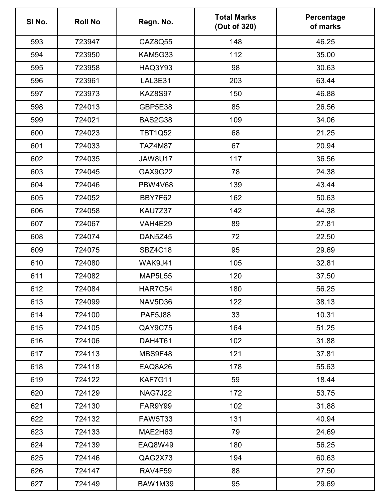| SI No. | <b>Roll No</b> | Regn. No.      | <b>Total Marks</b><br>(Out of 320) | Percentage<br>of marks |
|--------|----------------|----------------|------------------------------------|------------------------|
| 593    | 723947         | CAZ8Q55        | 148                                | 46.25                  |
| 594    | 723950         | KAM5G33        | 112                                | 35.00                  |
| 595    | 723958         | <b>HAQ3Y93</b> | 98                                 | 30.63                  |
| 596    | 723961         | LAL3E31        | 203                                | 63.44                  |
| 597    | 723973         | <b>KAZ8S97</b> | 150                                | 46.88                  |
| 598    | 724013         | GBP5E38        | 85                                 | 26.56                  |
| 599    | 724021         | <b>BAS2G38</b> | 109                                | 34.06                  |
| 600    | 724023         | <b>TBT1Q52</b> | 68                                 | 21.25                  |
| 601    | 724033         | <b>TAZ4M87</b> | 67                                 | 20.94                  |
| 602    | 724035         | <b>JAW8U17</b> | 117                                | 36.56                  |
| 603    | 724045         | <b>GAX9G22</b> | 78                                 | 24.38                  |
| 604    | 724046         | <b>PBW4V68</b> | 139                                | 43.44                  |
| 605    | 724052         | BBY7F62        | 162                                | 50.63                  |
| 606    | 724058         | KAU7Z37        | 142                                | 44.38                  |
| 607    | 724067         | <b>VAH4E29</b> | 89                                 | 27.81                  |
| 608    | 724074         | <b>DAN5Z45</b> | 72                                 | 22.50                  |
| 609    | 724075         | <b>SBZ4C18</b> | 95                                 | 29.69                  |
| 610    | 724080         | WAK9J41        | 105                                | 32.81                  |
| 611    | 724082         | <b>MAP5L55</b> | 120                                | 37.50                  |
| 612    | 724084         | HAR7C54        | 180                                | 56.25                  |
| 613    | 724099         | NAV5D36        | 122                                | 38.13                  |
| 614    | 724100         | <b>PAF5J88</b> | 33                                 | 10.31                  |
| 615    | 724105         | QAY9C75        | 164                                | 51.25                  |
| 616    | 724106         | DAH4T61        | 102                                | 31.88                  |
| 617    | 724113         | MBS9F48        | 121                                | 37.81                  |
| 618    | 724118         | EAQ8A26        | 178                                | 55.63                  |
| 619    | 724122         | KAF7G11        | 59                                 | 18.44                  |
| 620    | 724129         | <b>NAG7J22</b> | 172                                | 53.75                  |
| 621    | 724130         | FAR9Y99        | 102                                | 31.88                  |
| 622    | 724132         | <b>FAW5T33</b> | 131                                | 40.94                  |
| 623    | 724133         | MAE2H63        | 79                                 | 24.69                  |
| 624    | 724139         | EAQ8W49        | 180                                | 56.25                  |
| 625    | 724146         | QAG2X73        | 194                                | 60.63                  |
| 626    | 724147         | RAV4F59        | 88                                 | 27.50                  |
| 627    | 724149         | <b>BAW1M39</b> | 95                                 | 29.69                  |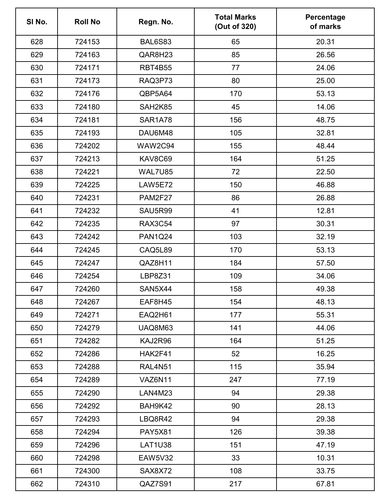| SI No. | <b>Roll No</b> | Regn. No.      | <b>Total Marks</b><br>(Out of 320) | Percentage<br>of marks |
|--------|----------------|----------------|------------------------------------|------------------------|
| 628    | 724153         | <b>BAL6S83</b> | 65                                 | 20.31                  |
| 629    | 724163         | QAR8H23        | 85                                 | 26.56                  |
| 630    | 724171         | <b>RBT4B55</b> | 77                                 | 24.06                  |
| 631    | 724173         | RAQ3P73        | 80                                 | 25.00                  |
| 632    | 724176         | QBP5A64        | 170                                | 53.13                  |
| 633    | 724180         | SAH2K85        | 45                                 | 14.06                  |
| 634    | 724181         | <b>SAR1A78</b> | 156                                | 48.75                  |
| 635    | 724193         | DAU6M48        | 105                                | 32.81                  |
| 636    | 724202         | WAW2C94        | 155                                | 48.44                  |
| 637    | 724213         | KAV8C69        | 164                                | 51.25                  |
| 638    | 724221         | WAL7U85        | 72                                 | 22.50                  |
| 639    | 724225         | <b>LAW5E72</b> | 150                                | 46.88                  |
| 640    | 724231         | <b>PAM2F27</b> | 86                                 | 26.88                  |
| 641    | 724232         | SAU5R99        | 41                                 | 12.81                  |
| 642    | 724235         | <b>RAX3C54</b> | 97                                 | 30.31                  |
| 643    | 724242         | <b>PAN1Q24</b> | 103                                | 32.19                  |
| 644    | 724245         | CAQ5L89        | 170                                | 53.13                  |
| 645    | 724247         | QAZ8H11        | 184                                | 57.50                  |
| 646    | 724254         | <b>LBP8Z31</b> | 109                                | 34.06                  |
| 647    | 724260         | SAN5X44        | 158                                | 49.38                  |
| 648    | 724267         | EAF8H45        | 154                                | 48.13                  |
| 649    | 724271         | EAQ2H61        | 177                                | 55.31                  |
| 650    | 724279         | UAQ8M63        | 141                                | 44.06                  |
| 651    | 724282         | KAJ2R96        | 164                                | 51.25                  |
| 652    | 724286         | HAK2F41        | 52                                 | 16.25                  |
| 653    | 724288         | <b>RAL4N51</b> | 115                                | 35.94                  |
| 654    | 724289         | VAZ6N11        | 247                                | 77.19                  |
| 655    | 724290         | LAN4M23        | 94                                 | 29.38                  |
| 656    | 724292         | BAH9K42        | 90                                 | 28.13                  |
| 657    | 724293         | LBQ8R42        | 94                                 | 29.38                  |
| 658    | 724294         | <b>PAY5X81</b> | 126                                | 39.38                  |
| 659    | 724296         | <b>LAT1U38</b> | 151                                | 47.19                  |
| 660    | 724298         | <b>EAW5V32</b> | 33                                 | 10.31                  |
| 661    | 724300         | SAX8X72        | 108                                | 33.75                  |
| 662    | 724310         | QAZ7S91        | 217                                | 67.81                  |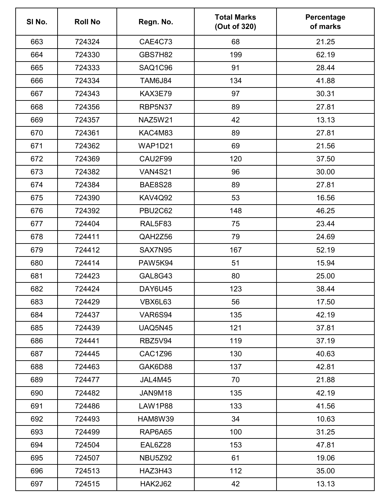| SI No. | <b>Roll No</b> | Regn. No.      | <b>Total Marks</b><br>(Out of 320) | Percentage<br>of marks |
|--------|----------------|----------------|------------------------------------|------------------------|
| 663    | 724324         | CAE4C73        | 68                                 | 21.25                  |
| 664    | 724330         | <b>GBS7H82</b> | 199                                | 62.19                  |
| 665    | 724333         | SAQ1C96        | 91                                 | 28.44                  |
| 666    | 724334         | <b>TAM6J84</b> | 134                                | 41.88                  |
| 667    | 724343         | KAX3E79        | 97                                 | 30.31                  |
| 668    | 724356         | RBP5N37        | 89                                 | 27.81                  |
| 669    | 724357         | NAZ5W21        | 42                                 | 13.13                  |
| 670    | 724361         | KAC4M83        | 89                                 | 27.81                  |
| 671    | 724362         | <b>WAP1D21</b> | 69                                 | 21.56                  |
| 672    | 724369         | CAU2F99        | 120                                | 37.50                  |
| 673    | 724382         | <b>VAN4S21</b> | 96                                 | 30.00                  |
| 674    | 724384         | <b>BAE8S28</b> | 89                                 | 27.81                  |
| 675    | 724390         | <b>KAV4Q92</b> | 53                                 | 16.56                  |
| 676    | 724392         | <b>PBU2C62</b> | 148                                | 46.25                  |
| 677    | 724404         | RAL5F83        | 75                                 | 23.44                  |
| 678    | 724411         | QAH2Z56        | 79                                 | 24.69                  |
| 679    | 724412         | SAX7N95        | 167                                | 52.19                  |
| 680    | 724414         | <b>PAW5K94</b> | 51                                 | 15.94                  |
| 681    | 724423         | <b>GAL8G43</b> | 80                                 | 25.00                  |
| 682    | 724424         | DAY6U45        | 123                                | 38.44                  |
| 683    | 724429         | VBX6L63        | 56                                 | 17.50                  |
| 684    | 724437         | <b>VAR6S94</b> | 135                                | 42.19                  |
| 685    | 724439         | <b>UAQ5N45</b> | 121                                | 37.81                  |
| 686    | 724441         | RBZ5V94        | 119                                | 37.19                  |
| 687    | 724445         | CAC1Z96        | 130                                | 40.63                  |
| 688    | 724463         | GAK6D88        | 137                                | 42.81                  |
| 689    | 724477         | JAL4M45        | 70                                 | 21.88                  |
| 690    | 724482         | JAN9M18        | 135                                | 42.19                  |
| 691    | 724486         | <b>LAW1P88</b> | 133                                | 41.56                  |
| 692    | 724493         | <b>HAM8W39</b> | 34                                 | 10.63                  |
| 693    | 724499         | RAP6A65        | 100                                | 31.25                  |
| 694    | 724504         | EAL6Z28        | 153                                | 47.81                  |
| 695    | 724507         | <b>NBU5Z92</b> | 61                                 | 19.06                  |
| 696    | 724513         | HAZ3H43        | 112                                | 35.00                  |
| 697    | 724515         | <b>HAK2J62</b> | 42                                 | 13.13                  |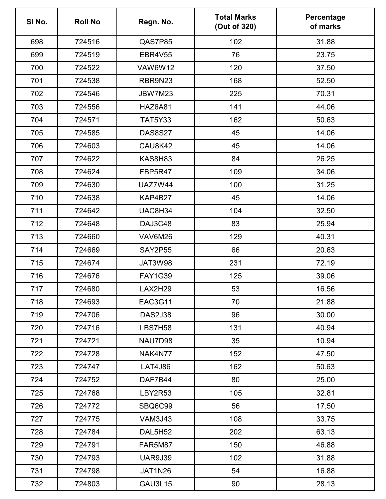| SI No. | <b>Roll No</b> | Regn. No.      | <b>Total Marks</b><br>(Out of 320) | Percentage<br>of marks |
|--------|----------------|----------------|------------------------------------|------------------------|
| 698    | 724516         | QAS7P85        | 102                                | 31.88                  |
| 699    | 724519         | <b>EBR4V55</b> | 76                                 | 23.75                  |
| 700    | 724522         | <b>VAW6W12</b> | 120                                | 37.50                  |
| 701    | 724538         | RBR9N23        | 168                                | 52.50                  |
| 702    | 724546         | <b>JBW7M23</b> | 225                                | 70.31                  |
| 703    | 724556         | <b>HAZ6A81</b> | 141                                | 44.06                  |
| 704    | 724571         | <b>TAT5Y33</b> | 162                                | 50.63                  |
| 705    | 724585         | <b>DAS8S27</b> | 45                                 | 14.06                  |
| 706    | 724603         | CAU8K42        | 45                                 | 14.06                  |
| 707    | 724622         | KAS8H83        | 84                                 | 26.25                  |
| 708    | 724624         | FBP5R47        | 109                                | 34.06                  |
| 709    | 724630         | <b>UAZ7W44</b> | 100                                | 31.25                  |
| 710    | 724638         | KAP4B27        | 45                                 | 14.06                  |
| 711    | 724642         | UAC8H34        | 104                                | 32.50                  |
| 712    | 724648         | DAJ3C48        | 83                                 | 25.94                  |
| 713    | 724660         | VAV6M26        | 129                                | 40.31                  |
| 714    | 724669         | <b>SAY2P55</b> | 66                                 | 20.63                  |
| 715    | 724674         | JAT3W98        | 231                                | 72.19                  |
| 716    | 724676         | <b>FAY1G39</b> | 125                                | 39.06                  |
| 717    | 724680         | LAX2H29        | 53                                 | 16.56                  |
| 718    | 724693         | <b>EAC3G11</b> | 70                                 | 21.88                  |
| 719    | 724706         | <b>DAS2J38</b> | 96                                 | 30.00                  |
| 720    | 724716         | <b>LBS7H58</b> | 131                                | 40.94                  |
| 721    | 724721         | NAU7D98        | 35                                 | 10.94                  |
| 722    | 724728         | NAK4N77        | 152                                | 47.50                  |
| 723    | 724747         | <b>LAT4J86</b> | 162                                | 50.63                  |
| 724    | 724752         | DAF7B44        | 80                                 | 25.00                  |
| 725    | 724768         | LBY2R53        | 105                                | 32.81                  |
| 726    | 724772         | SBQ6C99        | 56                                 | 17.50                  |
| 727    | 724775         | <b>VAM3J43</b> | 108                                | 33.75                  |
| 728    | 724784         | DAL5H52        | 202                                | 63.13                  |
| 729    | 724791         | <b>FAR5M87</b> | 150                                | 46.88                  |
| 730    | 724793         | <b>UAR9J39</b> | 102                                | 31.88                  |
| 731    | 724798         | JAT1N26        | 54                                 | 16.88                  |
| 732    | 724803         | <b>GAU3L15</b> | 90                                 | 28.13                  |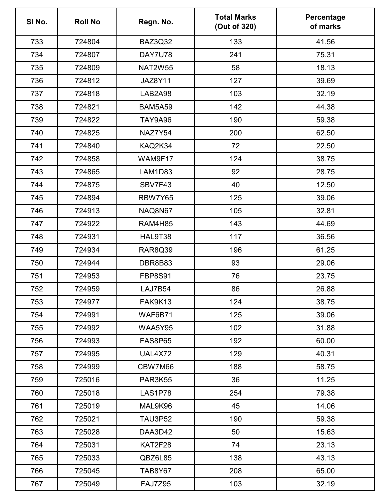| SI No. | <b>Roll No</b> | Regn. No.      | <b>Total Marks</b><br>(Out of 320) | Percentage<br>of marks |
|--------|----------------|----------------|------------------------------------|------------------------|
| 733    | 724804         | BAZ3Q32        | 133                                | 41.56                  |
| 734    | 724807         | DAY7U78        | 241                                | 75.31                  |
| 735    | 724809         | <b>NAT2W55</b> | 58                                 | 18.13                  |
| 736    | 724812         | <b>JAZ8Y11</b> | 127                                | 39.69                  |
| 737    | 724818         | LAB2A98        | 103                                | 32.19                  |
| 738    | 724821         | <b>BAM5A59</b> | 142                                | 44.38                  |
| 739    | 724822         | <b>TAY9A96</b> | 190                                | 59.38                  |
| 740    | 724825         | NAZ7Y54        | 200                                | 62.50                  |
| 741    | 724840         | KAQ2K34        | 72                                 | 22.50                  |
| 742    | 724858         | WAM9F17        | 124                                | 38.75                  |
| 743    | 724865         | LAM1D83        | 92                                 | 28.75                  |
| 744    | 724875         | SBV7F43        | 40                                 | 12.50                  |
| 745    | 724894         | RBW7Y65        | 125                                | 39.06                  |
| 746    | 724913         | NAQ8N67        | 105                                | 32.81                  |
| 747    | 724922         | <b>RAM4H85</b> | 143                                | 44.69                  |
| 748    | 724931         | HAL9T38        | 117                                | 36.56                  |
| 749    | 724934         | <b>RAR8Q39</b> | 196                                | 61.25                  |
| 750    | 724944         | DBR8B83        | 93                                 | 29.06                  |
| 751    | 724953         | <b>FBP8S91</b> | 76                                 | 23.75                  |
| 752    | 724959         | LAJ7B54        | 86                                 | 26.88                  |
| 753    | 724977         | FAK9K13        | 124                                | 38.75                  |
| 754    | 724991         | WAF6B71        | 125                                | 39.06                  |
| 755    | 724992         | <b>WAA5Y95</b> | 102                                | 31.88                  |
| 756    | 724993         | <b>FAS8P65</b> | 192                                | 60.00                  |
| 757    | 724995         | UAL4X72        | 129                                | 40.31                  |
| 758    | 724999         | CBW7M66        | 188                                | 58.75                  |
| 759    | 725016         | <b>PAR3K55</b> | 36                                 | 11.25                  |
| 760    | 725018         | LAS1P78        | 254                                | 79.38                  |
| 761    | 725019         | MAL9K96        | 45                                 | 14.06                  |
| 762    | 725021         | <b>TAU3P52</b> | 190                                | 59.38                  |
| 763    | 725028         | DAA3D42        | 50                                 | 15.63                  |
| 764    | 725031         | KAT2F28        | 74                                 | 23.13                  |
| 765    | 725033         | QBZ6L85        | 138                                | 43.13                  |
| 766    | 725045         | <b>TAB8Y67</b> | 208                                | 65.00                  |
| 767    | 725049         | <b>FAJ7Z95</b> | 103                                | 32.19                  |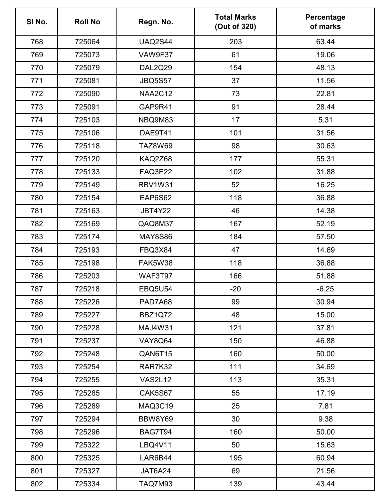| SI No. | <b>Roll No</b> | Regn. No.      | <b>Total Marks</b><br>(Out of 320) | Percentage<br>of marks |
|--------|----------------|----------------|------------------------------------|------------------------|
| 768    | 725064         | <b>UAQ2S44</b> | 203                                | 63.44                  |
| 769    | 725073         | VAW9F37        | 61                                 | 19.06                  |
| 770    | 725079         | <b>DAL2Q29</b> | 154                                | 48.13                  |
| 771    | 725081         | <b>JBQ5S57</b> | 37                                 | 11.56                  |
| 772    | 725090         | <b>NAA2C12</b> | 73                                 | 22.81                  |
| 773    | 725091         | GAP9R41        | 91                                 | 28.44                  |
| 774    | 725103         | NBQ9M83        | 17                                 | 5.31                   |
| 775    | 725106         | DAE9T41        | 101                                | 31.56                  |
| 776    | 725118         | <b>TAZ8W69</b> | 98                                 | 30.63                  |
| 777    | 725120         | KAQ2Z68        | 177                                | 55.31                  |
| 778    | 725133         | <b>FAQ3E22</b> | 102                                | 31.88                  |
| 779    | 725149         | <b>RBV1W31</b> | 52                                 | 16.25                  |
| 780    | 725154         | EAP6S62        | 118                                | 36.88                  |
| 781    | 725163         | JBT4Y22        | 46                                 | 14.38                  |
| 782    | 725169         | QAQ8M37        | 167                                | 52.19                  |
| 783    | 725174         | <b>MAY8S86</b> | 184                                | 57.50                  |
| 784    | 725193         | FBQ3X84        | 47                                 | 14.69                  |
| 785    | 725198         | FAK5W38        | 118                                | 36.88                  |
| 786    | 725203         | WAF3T97        | 166                                | 51.88                  |
| 787    | 725218         | <b>EBQ5U54</b> | $-20$                              | $-6.25$                |
| 788    | 725226         | PAD7A68        | 99                                 | 30.94                  |
| 789    | 725227         | <b>BBZ1Q72</b> | 48                                 | 15.00                  |
| 790    | 725228         | <b>MAJ4W31</b> | 121                                | 37.81                  |
| 791    | 725237         | <b>VAY8Q64</b> | 150                                | 46.88                  |
| 792    | 725248         | QAN6T15        | 160                                | 50.00                  |
| 793    | 725254         | RAR7K32        | 111                                | 34.69                  |
| 794    | 725255         | <b>VAS2L12</b> | 113                                | 35.31                  |
| 795    | 725285         | <b>CAK5S67</b> | 55                                 | 17.19                  |
| 796    | 725289         | MAQ3C19        | 25                                 | 7.81                   |
| 797    | 725294         | BBW8Y69        | 30                                 | 9.38                   |
| 798    | 725296         | BAG7T94        | 160                                | 50.00                  |
| 799    | 725322         | LBQ4V11        | 50                                 | 15.63                  |
| 800    | 725325         | LAR6B44        | 195                                | 60.94                  |
| 801    | 725327         | JAT6A24        | 69                                 | 21.56                  |
| 802    | 725334         | <b>TAQ7M93</b> | 139                                | 43.44                  |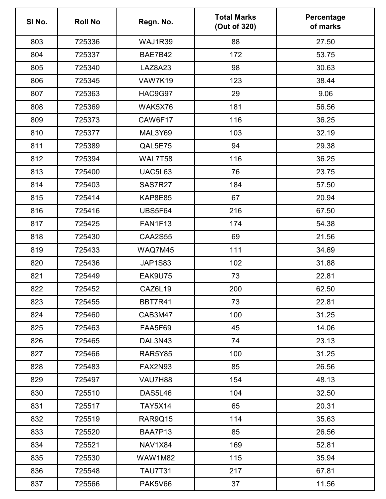| SI No. | <b>Roll No</b> | Regn. No.      | <b>Total Marks</b><br>(Out of 320) | Percentage<br>of marks |
|--------|----------------|----------------|------------------------------------|------------------------|
| 803    | 725336         | WAJ1R39        | 88                                 | 27.50                  |
| 804    | 725337         | BAE7B42        | 172                                | 53.75                  |
| 805    | 725340         | LAZ8A23        | 98                                 | 30.63                  |
| 806    | 725345         | VAW7K19        | 123                                | 38.44                  |
| 807    | 725363         | HAC9G97        | 29                                 | 9.06                   |
| 808    | 725369         | WAK5X76        | 181                                | 56.56                  |
| 809    | 725373         | CAW6F17        | 116                                | 36.25                  |
| 810    | 725377         | MAL3Y69        | 103                                | 32.19                  |
| 811    | 725389         | QAL5E75        | 94                                 | 29.38                  |
| 812    | 725394         | WAL7T58        | 116                                | 36.25                  |
| 813    | 725400         | <b>UAC5L63</b> | 76                                 | 23.75                  |
| 814    | 725403         | SAS7R27        | 184                                | 57.50                  |
| 815    | 725414         | <b>KAP8E85</b> | 67                                 | 20.94                  |
| 816    | 725416         | <b>UBS5F64</b> | 216                                | 67.50                  |
| 817    | 725425         | <b>FAN1F13</b> | 174                                | 54.38                  |
| 818    | 725430         | <b>CAA2S55</b> | 69                                 | 21.56                  |
| 819    | 725433         | WAQ7M45        | 111                                | 34.69                  |
| 820    | 725436         | <b>JAP1S83</b> | 102                                | 31.88                  |
| 821    | 725449         | EAK9U75        | 73                                 | 22.81                  |
| 822    | 725452         | CAZ6L19        | 200                                | 62.50                  |
| 823    | 725455         | <b>BBT7R41</b> | 73                                 | 22.81                  |
| 824    | 725460         | CAB3M47        | 100                                | 31.25                  |
| 825    | 725463         | FAA5F69        | 45                                 | 14.06                  |
| 826    | 725465         | DAL3N43        | 74                                 | 23.13                  |
| 827    | 725466         | <b>RAR5Y85</b> | 100                                | 31.25                  |
| 828    | 725483         | <b>FAX2N93</b> | 85                                 | 26.56                  |
| 829    | 725497         | VAU7H88        | 154                                | 48.13                  |
| 830    | 725510         | DAS5L46        | 104                                | 32.50                  |
| 831    | 725517         | <b>TAY5X14</b> | 65                                 | 20.31                  |
| 832    | 725519         | RAR9Q15        | 114                                | 35.63                  |
| 833    | 725520         | BAA7P13        | 85                                 | 26.56                  |
| 834    | 725521         | <b>NAV1X84</b> | 169                                | 52.81                  |
| 835    | 725530         | <b>WAW1M82</b> | 115                                | 35.94                  |
| 836    | 725548         | <b>TAU7T31</b> | 217                                | 67.81                  |
| 837    | 725566         | <b>PAK5V66</b> | 37                                 | 11.56                  |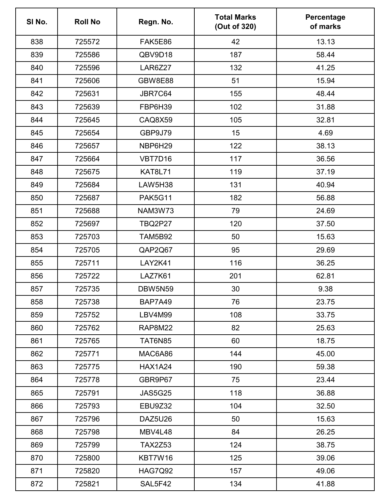| SI No. | <b>Roll No</b> | Regn. No.      | <b>Total Marks</b><br>(Out of 320) | Percentage<br>of marks |
|--------|----------------|----------------|------------------------------------|------------------------|
| 838    | 725572         | FAK5E86        | 42                                 | 13.13                  |
| 839    | 725586         | QBV9D18        | 187                                | 58.44                  |
| 840    | 725596         | LAR6Z27        | 132                                | 41.25                  |
| 841    | 725606         | <b>GBW8E88</b> | 51                                 | 15.94                  |
| 842    | 725631         | JBR7C64        | 155                                | 48.44                  |
| 843    | 725639         | FBP6H39        | 102                                | 31.88                  |
| 844    | 725645         | CAQ8X59        | 105                                | 32.81                  |
| 845    | 725654         | GBP9J79        | 15                                 | 4.69                   |
| 846    | 725657         | NBP6H29        | 122                                | 38.13                  |
| 847    | 725664         | VBT7D16        | 117                                | 36.56                  |
| 848    | 725675         | <b>KAT8L71</b> | 119                                | 37.19                  |
| 849    | 725684         | LAW5H38        | 131                                | 40.94                  |
| 850    | 725687         | <b>PAK5G11</b> | 182                                | 56.88                  |
| 851    | 725688         | <b>NAM3W73</b> | 79                                 | 24.69                  |
| 852    | 725697         | <b>TBQ2P27</b> | 120                                | 37.50                  |
| 853    | 725703         | <b>TAM5B92</b> | 50                                 | 15.63                  |
| 854    | 725705         | QAP2Q67        | 95                                 | 29.69                  |
| 855    | 725711         | LAY2K41        | 116                                | 36.25                  |
| 856    | 725722         | LAZ7K61        | 201                                | 62.81                  |
| 857    | 725735         | <b>DBW5N59</b> | 30                                 | 9.38                   |
| 858    | 725738         | BAP7A49        | 76                                 | 23.75                  |
| 859    | 725752         | LBV4M99        | 108                                | 33.75                  |
| 860    | 725762         | <b>RAP8M22</b> | 82                                 | 25.63                  |
| 861    | 725765         | <b>TAT6N85</b> | 60                                 | 18.75                  |
| 862    | 725771         | MAC6A86        | 144                                | 45.00                  |
| 863    | 725775         | <b>HAX1A24</b> | 190                                | 59.38                  |
| 864    | 725778         | GBR9P67        | 75                                 | 23.44                  |
| 865    | 725791         | <b>JAS5G25</b> | 118                                | 36.88                  |
| 866    | 725793         | EBU9Z32        | 104                                | 32.50                  |
| 867    | 725796         | DAZ5U26        | 50                                 | 15.63                  |
| 868    | 725798         | MBV4L48        | 84                                 | 26.25                  |
| 869    | 725799         | <b>TAX2Z53</b> | 124                                | 38.75                  |
| 870    | 725800         | KBT7W16        | 125                                | 39.06                  |
| 871    | 725820         | <b>HAG7Q92</b> | 157                                | 49.06                  |
| 872    | 725821         | SAL5F42        | 134                                | 41.88                  |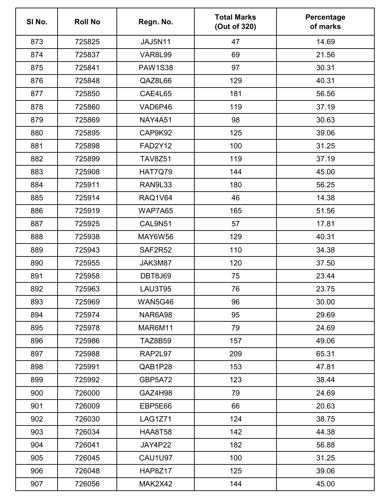| SI No. | <b>Roll No</b> | Regn. No.      | <b>Total Marks</b><br>(Out of 320) | Percentage<br>of marks |
|--------|----------------|----------------|------------------------------------|------------------------|
| 873    | 725825         | <b>JAJ5N11</b> | 47                                 | 14.69                  |
| 874    | 725837         | <b>VAR8L99</b> | 69                                 | 21.56                  |
| 875    | 725841         | <b>PAW1S38</b> | 97                                 | 30.31                  |
| 876    | 725848         | QAZ8L66        | 129                                | 40.31                  |
| 877    | 725850         | <b>CAE4L65</b> | 181                                | 56.56                  |
| 878    | 725860         | VAD6P46        | 119                                | 37.19                  |
| 879    | 725869         | <b>NAY4A51</b> | 98                                 | 30.63                  |
| 880    | 725895         | CAP9K92        | 125                                | 39.06                  |
| 881    | 725898         | <b>FAD2Y12</b> | 100                                | 31.25                  |
| 882    | 725899         | <b>TAV8Z51</b> | 119                                | 37.19                  |
| 883    | 725908         | <b>HAT7Q79</b> | 144                                | 45.00                  |
| 884    | 725911         | RAN9L33        | 180                                | 56.25                  |
| 885    | 725914         | <b>RAQ1V64</b> | 46                                 | 14.38                  |
| 886    | 725919         | WAP7A65        | 165                                | 51.56                  |
| 887    | 725925         | CAL9N51        | 57                                 | 17.81                  |
| 888    | 725938         | MAY6W56        | 129                                | 40.31                  |
| 889    | 725943         | SAF2R52        | 110                                | 34.38                  |
| 890    | 725955         | JAK3M87        | 120                                | 37.50                  |
| 891    | 725958         | <b>DBT8J69</b> | 75                                 | 23.44                  |
| 892    | 725963         | LAU3T95        | 76                                 | 23.75                  |
| 893    | 725969         | <b>WAN5G46</b> | 96                                 | 30.00                  |
| 894    | 725974         | NAR6A98        | 95                                 | 29.69                  |
| 895    | 725978         | MAR6M11        | 79                                 | 24.69                  |
| 896    | 725986         | <b>TAZ8B59</b> | 157                                | 49.06                  |
| 897    | 725988         | RAP2L97        | 209                                | 65.31                  |
| 898    | 725991         | QAB1P28        | 153                                | 47.81                  |
| 899    | 725992         | GBP5A72        | 123                                | 38.44                  |
| 900    | 726000         | GAZ4H98        | 79                                 | 24.69                  |
| 901    | 726009         | EBP5E66        | 66                                 | 20.63                  |
| 902    | 726030         | <b>LAG1Z71</b> | 124                                | 38.75                  |
| 903    | 726034         | <b>HAA8T58</b> | 142                                | 44.38                  |
| 904    | 726041         | JAY4P22        | 182                                | 56.88                  |
| 905    | 726045         | <b>CAU1U97</b> | 100                                | 31.25                  |
| 906    | 726048         | HAP8Z17        | 125                                | 39.06                  |
| 907    | 726056         | MAK2X42        | 144                                | 45.00                  |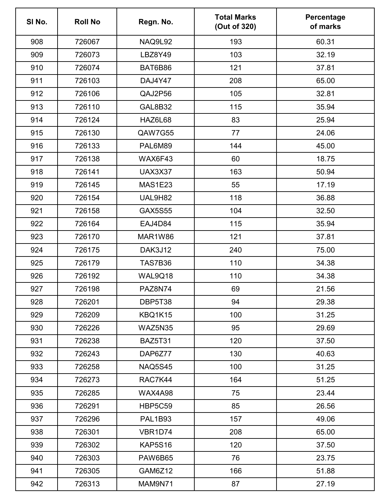| SI No. | <b>Roll No</b> | Regn. No.      | <b>Total Marks</b><br>(Out of 320) | Percentage<br>of marks |
|--------|----------------|----------------|------------------------------------|------------------------|
| 908    | 726067         | <b>NAQ9L92</b> | 193                                | 60.31                  |
| 909    | 726073         | <b>LBZ8Y49</b> | 103                                | 32.19                  |
| 910    | 726074         | BAT6B86        | 121                                | 37.81                  |
| 911    | 726103         | DAJ4Y47        | 208                                | 65.00                  |
| 912    | 726106         | QAJ2P56        | 105                                | 32.81                  |
| 913    | 726110         | <b>GAL8B32</b> | 115                                | 35.94                  |
| 914    | 726124         | HAZ6L68        | 83                                 | 25.94                  |
| 915    | 726130         | QAW7G55        | 77                                 | 24.06                  |
| 916    | 726133         | PAL6M89        | 144                                | 45.00                  |
| 917    | 726138         | WAX6F43        | 60                                 | 18.75                  |
| 918    | 726141         | <b>UAX3X37</b> | 163                                | 50.94                  |
| 919    | 726145         | <b>MAS1E23</b> | 55                                 | 17.19                  |
| 920    | 726154         | UAL9H82        | 118                                | 36.88                  |
| 921    | 726158         | <b>GAX5S55</b> | 104                                | 32.50                  |
| 922    | 726164         | EAJ4D84        | 115                                | 35.94                  |
| 923    | 726170         | MAR1W86        | 121                                | 37.81                  |
| 924    | 726175         | DAK3J12        | 240                                | 75.00                  |
| 925    | 726179         | <b>TAS7B36</b> | 110                                | 34.38                  |
| 926    | 726192         | WAL9Q18        | 110                                | 34.38                  |
| 927    | 726198         | PAZ8N74        | 69                                 | 21.56                  |
| 928    | 726201         | DBP5T38        | 94                                 | 29.38                  |
| 929    | 726209         | KBQ1K15        | 100                                | 31.25                  |
| 930    | 726226         | WAZ5N35        | 95                                 | 29.69                  |
| 931    | 726238         | <b>BAZ5T31</b> | 120                                | 37.50                  |
| 932    | 726243         | DAP6Z77        | 130                                | 40.63                  |
| 933    | 726258         | <b>NAQ5S45</b> | 100                                | 31.25                  |
| 934    | 726273         | RAC7K44        | 164                                | 51.25                  |
| 935    | 726285         | WAX4A98        | 75                                 | 23.44                  |
| 936    | 726291         | <b>HBP5C59</b> | 85                                 | 26.56                  |
| 937    | 726296         | <b>PAL1B93</b> | 157                                | 49.06                  |
| 938    | 726301         | VBR1D74        | 208                                | 65.00                  |
| 939    | 726302         | <b>KAP5S16</b> | 120                                | 37.50                  |
| 940    | 726303         | PAW6B65        | 76                                 | 23.75                  |
| 941    | 726305         | GAM6Z12        | 166                                | 51.88                  |
| 942    | 726313         | MAM9N71        | 87                                 | 27.19                  |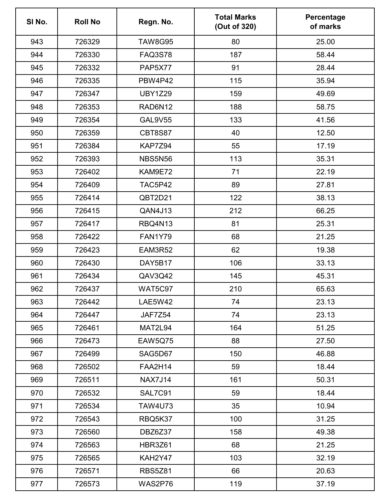| SI No. | <b>Roll No</b> | Regn. No.      | <b>Total Marks</b><br>(Out of 320) | Percentage<br>of marks |
|--------|----------------|----------------|------------------------------------|------------------------|
| 943    | 726329         | <b>TAW8G95</b> | 80                                 | 25.00                  |
| 944    | 726330         | <b>FAQ3S78</b> | 187                                | 58.44                  |
| 945    | 726332         | <b>PAP5X77</b> | 91                                 | 28.44                  |
| 946    | 726335         | <b>PBW4P42</b> | 115                                | 35.94                  |
| 947    | 726347         | <b>UBY1Z29</b> | 159                                | 49.69                  |
| 948    | 726353         | RAD6N12        | 188                                | 58.75                  |
| 949    | 726354         | <b>GAL9V55</b> | 133                                | 41.56                  |
| 950    | 726359         | <b>CBT8S87</b> | 40                                 | 12.50                  |
| 951    | 726384         | KAP7Z94        | 55                                 | 17.19                  |
| 952    | 726393         | <b>NBS5N56</b> | 113                                | 35.31                  |
| 953    | 726402         | KAM9E72        | 71                                 | 22.19                  |
| 954    | 726409         | TAC5P42        | 89                                 | 27.81                  |
| 955    | 726414         | QBT2D21        | 122                                | 38.13                  |
| 956    | 726415         | QAN4J13        | 212                                | 66.25                  |
| 957    | 726417         | RBQ4N13        | 81                                 | 25.31                  |
| 958    | 726422         | <b>FAN1Y79</b> | 68                                 | 21.25                  |
| 959    | 726423         | EAM3R52        | 62                                 | 19.38                  |
| 960    | 726430         | DAY5B17        | 106                                | 33.13                  |
| 961    | 726434         | QAV3Q42        | 145                                | 45.31                  |
| 962    | 726437         | <b>WAT5C97</b> | 210                                | 65.63                  |
| 963    | 726442         | <b>LAE5W42</b> | 74                                 | 23.13                  |
| 964    | 726447         | JAF7Z54        | 74                                 | 23.13                  |
| 965    | 726461         | MAT2L94        | 164                                | 51.25                  |
| 966    | 726473         | <b>EAW5Q75</b> | 88                                 | 27.50                  |
| 967    | 726499         | SAG5D67        | 150                                | 46.88                  |
| 968    | 726502         | <b>FAA2H14</b> | 59                                 | 18.44                  |
| 969    | 726511         | <b>NAX7J14</b> | 161                                | 50.31                  |
| 970    | 726532         | SAL7C91        | 59                                 | 18.44                  |
| 971    | 726534         | <b>TAW4U73</b> | 35                                 | 10.94                  |
| 972    | 726543         | RBQ5K37        | 100                                | 31.25                  |
| 973    | 726560         | DBZ6Z37        | 158                                | 49.38                  |
| 974    | 726563         | <b>HBR3Z61</b> | 68                                 | 21.25                  |
| 975    | 726565         | KAH2Y47        | 103                                | 32.19                  |
| 976    | 726571         | <b>RBS5Z81</b> | 66                                 | 20.63                  |
| 977    | 726573         | WAS2P76        | 119                                | 37.19                  |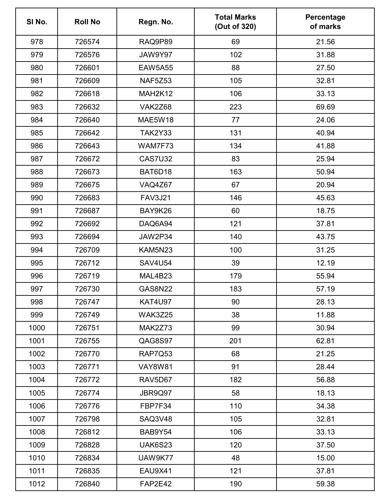| SI No. | <b>Roll No</b> | Regn. No.      | <b>Total Marks</b><br>(Out of 320) | Percentage<br>of marks |
|--------|----------------|----------------|------------------------------------|------------------------|
| 978    | 726574         | RAQ9P89        | 69                                 | 21.56                  |
| 979    | 726576         | JAW9Y97        | 102                                | 31.88                  |
| 980    | 726601         | <b>EAW5A55</b> | 88                                 | 27.50                  |
| 981    | 726609         | NAF5Z53        | 105                                | 32.81                  |
| 982    | 726618         | MAH2K12        | 106                                | 33.13                  |
| 983    | 726632         | VAK2Z68        | 223                                | 69.69                  |
| 984    | 726640         | MAE5W18        | 77                                 | 24.06                  |
| 985    | 726642         | <b>TAK2Y33</b> | 131                                | 40.94                  |
| 986    | 726643         | WAM7F73        | 134                                | 41.88                  |
| 987    | 726672         | <b>CAS7U32</b> | 83                                 | 25.94                  |
| 988    | 726673         | BAT6D18        | 163                                | 50.94                  |
| 989    | 726675         | VAQ4Z67        | 67                                 | 20.94                  |
| 990    | 726683         | <b>FAV3J21</b> | 146                                | 45.63                  |
| 991    | 726687         | BAY9K26        | 60                                 | 18.75                  |
| 992    | 726692         | DAQ6A94        | 121                                | 37.81                  |
| 993    | 726694         | JAW2P34        | 140                                | 43.75                  |
| 994    | 726709         | KAM5N23        | 100                                | 31.25                  |
| 995    | 726712         | <b>SAV4U54</b> | 39                                 | 12.19                  |
| 996    | 726719         | MAL4B23        | 179                                | 55.94                  |
| 997    | 726730         | <b>GAS8N22</b> | 183                                | 57.19                  |
| 998    | 726747         | <b>KAT4U97</b> | 90                                 | 28.13                  |
| 999    | 726749         | WAK3Z25        | 38                                 | 11.88                  |
| 1000   | 726751         | MAK2Z73        | 99                                 | 30.94                  |
| 1001   | 726755         | QAG8S97        | 201                                | 62.81                  |
| 1002   | 726770         | RAP7Q53        | 68                                 | 21.25                  |
| 1003   | 726771         | <b>VAY8W81</b> | 91                                 | 28.44                  |
| 1004   | 726772         | RAV5D67        | 182                                | 56.88                  |
| 1005   | 726774         | JBR9Q97        | 58                                 | 18.13                  |
| 1006   | 726776         | FBP7F34        | 110                                | 34.38                  |
| 1007   | 726798         | <b>SAQ3V48</b> | 105                                | 32.81                  |
| 1008   | 726812         | BAB9Y54        | 106                                | 33.13                  |
| 1009   | 726828         | <b>UAK6S23</b> | 120                                | 37.50                  |
| 1010   | 726834         | UAW9K77        | 48                                 | 15.00                  |
| 1011   | 726835         | EAU9X41        | 121                                | 37.81                  |
| 1012   | 726840         | <b>FAP2E42</b> | 190                                | 59.38                  |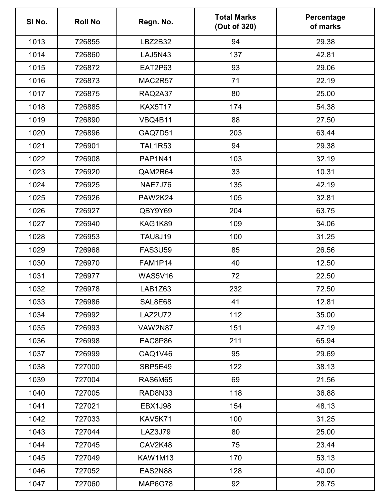| SI No. | <b>Roll No</b> | Regn. No.      | <b>Total Marks</b><br>(Out of 320) | Percentage<br>of marks |
|--------|----------------|----------------|------------------------------------|------------------------|
| 1013   | 726855         | LBZ2B32        | 94                                 | 29.38                  |
| 1014   | 726860         | <b>LAJ5N43</b> | 137                                | 42.81                  |
| 1015   | 726872         | <b>EAT2P63</b> | 93                                 | 29.06                  |
| 1016   | 726873         | MAC2R57        | 71                                 | 22.19                  |
| 1017   | 726875         | RAQ2A37        | 80                                 | 25.00                  |
| 1018   | 726885         | <b>KAX5T17</b> | 174                                | 54.38                  |
| 1019   | 726890         | <b>VBQ4B11</b> | 88                                 | 27.50                  |
| 1020   | 726896         | GAQ7D51        | 203                                | 63.44                  |
| 1021   | 726901         | <b>TAL1R53</b> | 94                                 | 29.38                  |
| 1022   | 726908         | <b>PAP1N41</b> | 103                                | 32.19                  |
| 1023   | 726920         | QAM2R64        | 33                                 | 10.31                  |
| 1024   | 726925         | <b>NAE7J76</b> | 135                                | 42.19                  |
| 1025   | 726926         | <b>PAW2K24</b> | 105                                | 32.81                  |
| 1026   | 726927         | QBY9Y69        | 204                                | 63.75                  |
| 1027   | 726940         | KAG1K89        | 109                                | 34.06                  |
| 1028   | 726953         | <b>TAU8J19</b> | 100                                | 31.25                  |
| 1029   | 726968         | <b>FAS3U59</b> | 85                                 | 26.56                  |
| 1030   | 726970         | FAM1P14        | 40                                 | 12.50                  |
| 1031   | 726977         | <b>WAS5V16</b> | 72                                 | 22.50                  |
| 1032   | 726978         | LAB1Z63        | 232                                | 72.50                  |
| 1033   | 726986         | SAL8E68        | 41                                 | 12.81                  |
| 1034   | 726992         | <b>LAZ2U72</b> | 112                                | 35.00                  |
| 1035   | 726993         | <b>VAW2N87</b> | 151                                | 47.19                  |
| 1036   | 726998         | EAC8P86        | 211                                | 65.94                  |
| 1037   | 726999         | CAQ1V46        | 95                                 | 29.69                  |
| 1038   | 727000         | SBP5E49        | 122                                | 38.13                  |
| 1039   | 727004         | <b>RAS6M65</b> | 69                                 | 21.56                  |
| 1040   | 727005         | RAD8N33        | 118                                | 36.88                  |
| 1041   | 727021         | <b>EBX1J98</b> | 154                                | 48.13                  |
| 1042   | 727033         | KAV5K71        | 100                                | 31.25                  |
| 1043   | 727044         | LAZ3J79        | 80                                 | 25.00                  |
| 1044   | 727045         | CAV2K48        | 75                                 | 23.44                  |
| 1045   | 727049         | <b>KAW1M13</b> | 170                                | 53.13                  |
| 1046   | 727052         | EAS2N88        | 128                                | 40.00                  |
| 1047   | 727060         | MAP6G78        | 92                                 | 28.75                  |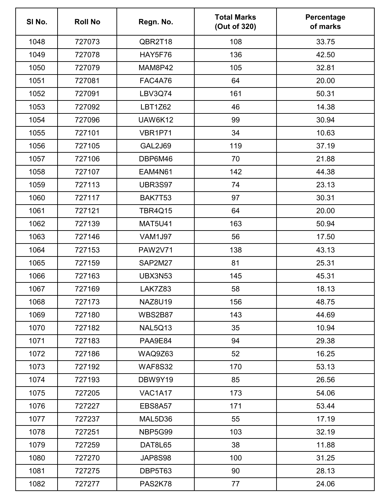| SI No. | <b>Roll No</b> | Regn. No.      | <b>Total Marks</b><br>(Out of 320) | Percentage<br>of marks |
|--------|----------------|----------------|------------------------------------|------------------------|
| 1048   | 727073         | QBR2T18        | 108                                | 33.75                  |
| 1049   | 727078         | HAY5F76        | 136                                | 42.50                  |
| 1050   | 727079         | MAM8P42        | 105                                | 32.81                  |
| 1051   | 727081         | <b>FAC4A76</b> | 64                                 | 20.00                  |
| 1052   | 727091         | <b>LBV3Q74</b> | 161                                | 50.31                  |
| 1053   | 727092         | <b>LBT1Z62</b> | 46                                 | 14.38                  |
| 1054   | 727096         | <b>UAW6K12</b> | 99                                 | 30.94                  |
| 1055   | 727101         | VBR1P71        | 34                                 | 10.63                  |
| 1056   | 727105         | <b>GAL2J69</b> | 119                                | 37.19                  |
| 1057   | 727106         | DBP6M46        | 70                                 | 21.88                  |
| 1058   | 727107         | <b>EAM4N61</b> | 142                                | 44.38                  |
| 1059   | 727113         | <b>UBR3S97</b> | 74                                 | 23.13                  |
| 1060   | 727117         | BAK7T53        | 97                                 | 30.31                  |
| 1061   | 727121         | <b>TBR4Q15</b> | 64                                 | 20.00                  |
| 1062   | 727139         | <b>MAT5U41</b> | 163                                | 50.94                  |
| 1063   | 727146         | <b>VAM1J97</b> | 56                                 | 17.50                  |
| 1064   | 727153         | <b>PAW2V71</b> | 138                                | 43.13                  |
| 1065   | 727159         | SAP2M27        | 81                                 | 25.31                  |
| 1066   | 727163         | <b>UBX3N53</b> | 145                                | 45.31                  |
| 1067   | 727169         | LAK7Z83        | 58                                 | 18.13                  |
| 1068   | 727173         | <b>NAZ8U19</b> | 156                                | 48.75                  |
| 1069   | 727180         | <b>WBS2B87</b> | 143                                | 44.69                  |
| 1070   | 727182         | NAL5Q13        | 35                                 | 10.94                  |
| 1071   | 727183         | PAA9E84        | 94                                 | 29.38                  |
| 1072   | 727186         | WAQ9Z63        | 52                                 | 16.25                  |
| 1073   | 727192         | <b>WAF8S32</b> | 170                                | 53.13                  |
| 1074   | 727193         | DBW9Y19        | 85                                 | 26.56                  |
| 1075   | 727205         | VAC1A17        | 173                                | 54.06                  |
| 1076   | 727227         | <b>EBS8A57</b> | 171                                | 53.44                  |
| 1077   | 727237         | MAL5D36        | 55                                 | 17.19                  |
| 1078   | 727251         | NBP5G99        | 103                                | 32.19                  |
| 1079   | 727259         | DAT8L65        | 38                                 | 11.88                  |
| 1080   | 727270         | JAP8S98        | 100                                | 31.25                  |
| 1081   | 727275         | DBP5T63        | 90                                 | 28.13                  |
| 1082   | 727277         | PAS2K78        | 77                                 | 24.06                  |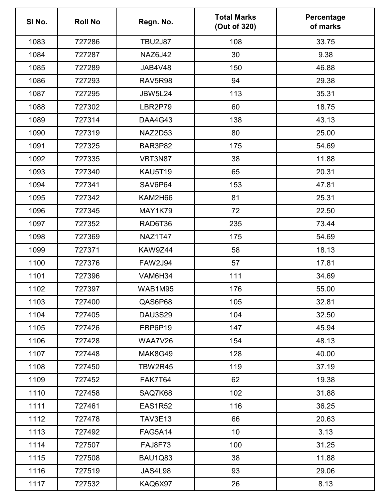| SI No. | <b>Roll No</b> | Regn. No.      | <b>Total Marks</b><br>(Out of 320) | Percentage<br>of marks |
|--------|----------------|----------------|------------------------------------|------------------------|
| 1083   | 727286         | <b>TBU2J87</b> | 108                                | 33.75                  |
| 1084   | 727287         | <b>NAZ6J42</b> | 30                                 | 9.38                   |
| 1085   | 727289         | JAB4V48        | 150                                | 46.88                  |
| 1086   | 727293         | RAV5R98        | 94                                 | 29.38                  |
| 1087   | 727295         | <b>JBW5L24</b> | 113                                | 35.31                  |
| 1088   | 727302         | LBR2P79        | 60                                 | 18.75                  |
| 1089   | 727314         | DAA4G43        | 138                                | 43.13                  |
| 1090   | 727319         | NAZ2D53        | 80                                 | 25.00                  |
| 1091   | 727325         | BAR3P82        | 175                                | 54.69                  |
| 1092   | 727335         | VBT3N87        | 38                                 | 11.88                  |
| 1093   | 727340         | <b>KAU5T19</b> | 65                                 | 20.31                  |
| 1094   | 727341         | SAV6P64        | 153                                | 47.81                  |
| 1095   | 727342         | KAM2H66        | 81                                 | 25.31                  |
| 1096   | 727345         | <b>MAY1K79</b> | 72                                 | 22.50                  |
| 1097   | 727352         | RAD6T36        | 235                                | 73.44                  |
| 1098   | 727369         | <b>NAZ1T47</b> | 175                                | 54.69                  |
| 1099   | 727371         | KAW9Z44        | 58                                 | 18.13                  |
| 1100   | 727376         | <b>FAW2J94</b> | 57                                 | 17.81                  |
| 1101   | 727396         | VAM6H34        | 111                                | 34.69                  |
| 1102   | 727397         | WAB1M95        | 176                                | 55.00                  |
| 1103   | 727400         | QAS6P68        | 105                                | 32.81                  |
| 1104   | 727405         | <b>DAU3S29</b> | 104                                | 32.50                  |
| 1105   | 727426         | EBP6P19        | 147                                | 45.94                  |
| 1106   | 727428         | <b>WAA7V26</b> | 154                                | 48.13                  |
| 1107   | 727448         | MAK8G49        | 128                                | 40.00                  |
| 1108   | 727450         | <b>TBW2R45</b> | 119                                | 37.19                  |
| 1109   | 727452         | FAK7T64        | 62                                 | 19.38                  |
| 1110   | 727458         | SAQ7K68        | 102                                | 31.88                  |
| 1111   | 727461         | <b>EAS1R52</b> | 116                                | 36.25                  |
| 1112   | 727478         | <b>TAV3E13</b> | 66                                 | 20.63                  |
| 1113   | 727492         | <b>FAG5A14</b> | 10 <sup>°</sup>                    | 3.13                   |
| 1114   | 727507         | <b>FAJ8F73</b> | 100                                | 31.25                  |
| 1115   | 727508         | <b>BAU1Q83</b> | 38                                 | 11.88                  |
| 1116   | 727519         | <b>JAS4L98</b> | 93                                 | 29.06                  |
| 1117   | 727532         | KAQ6X97        | 26                                 | 8.13                   |